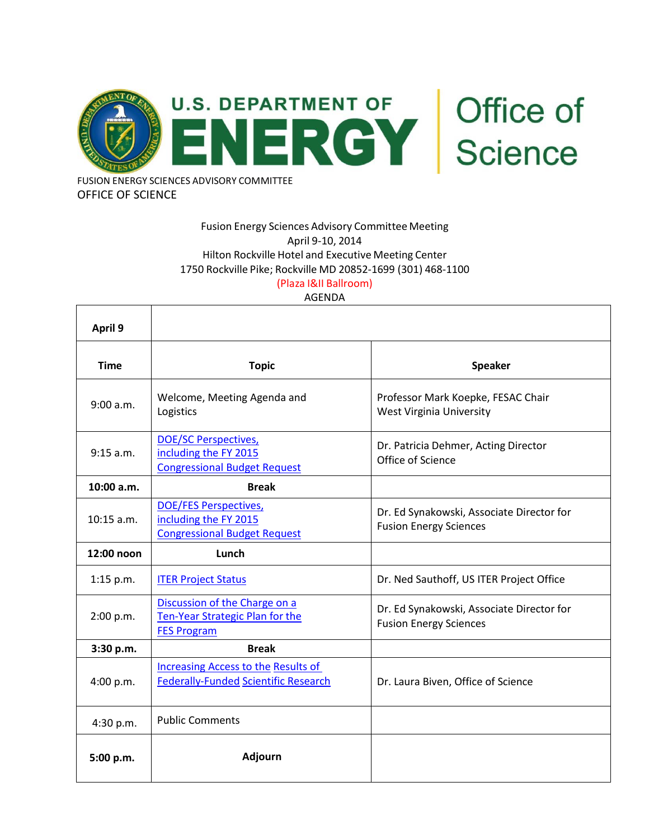

OFFICE OF SCIENCE

## Fusion Energy Sciences Advisory Committee Meeting April 9-10, 2014 Hilton Rockville Hotel and Executive Meeting Center 1750 Rockville Pike; Rockville MD 20852-1699 (301) 468-1100 (Plaza I&II Ballroom)

### AGENDA

| April 9      |                                                                                              |                                                                            |
|--------------|----------------------------------------------------------------------------------------------|----------------------------------------------------------------------------|
| <b>Time</b>  | <b>Topic</b>                                                                                 | <b>Speaker</b>                                                             |
| 9:00 a.m.    | Welcome, Meeting Agenda and<br>Logistics                                                     | Professor Mark Koepke, FESAC Chair<br>West Virginia University             |
| 9:15 a.m.    | <b>DOE/SC Perspectives,</b><br>including the FY 2015<br><b>Congressional Budget Request</b>  | Dr. Patricia Dehmer, Acting Director<br>Office of Science                  |
| 10:00 a.m.   | <b>Break</b>                                                                                 |                                                                            |
| $10:15$ a.m. | <b>DOE/FES Perspectives,</b><br>including the FY 2015<br><b>Congressional Budget Request</b> | Dr. Ed Synakowski, Associate Director for<br><b>Fusion Energy Sciences</b> |
| 12:00 noon   | Lunch                                                                                        |                                                                            |
| $1:15$ p.m.  | <b>ITER Project Status</b>                                                                   | Dr. Ned Sauthoff, US ITER Project Office                                   |
| 2:00 p.m.    | Discussion of the Charge on a<br>Ten-Year Strategic Plan for the<br><b>FES Program</b>       | Dr. Ed Synakowski, Associate Director for<br><b>Fusion Energy Sciences</b> |
| 3:30 p.m.    | <b>Break</b>                                                                                 |                                                                            |
| 4:00 p.m.    | <b>Increasing Access to the Results of</b><br><b>Federally-Funded Scientific Research</b>    | Dr. Laura Biven, Office of Science                                         |
| 4:30 p.m.    | <b>Public Comments</b>                                                                       |                                                                            |
| 5:00 p.m.    | Adjourn                                                                                      |                                                                            |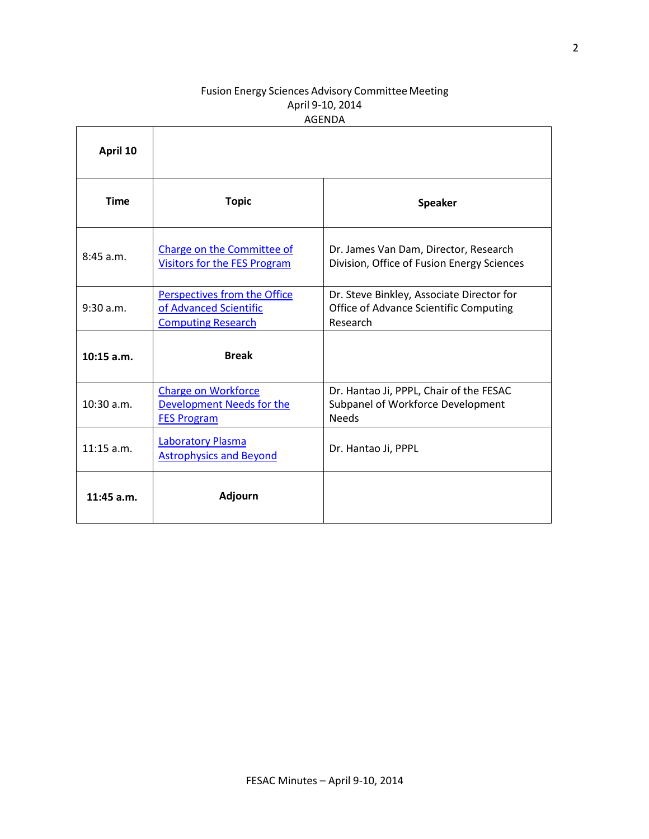## Fusion Energy Sciences Advisory Committee Meeting April 9-10, 2014 AGENDA

| April 10     |                                                                                     |                                                                                                 |
|--------------|-------------------------------------------------------------------------------------|-------------------------------------------------------------------------------------------------|
| <b>Time</b>  | <b>Topic</b>                                                                        | <b>Speaker</b>                                                                                  |
| 8:45 a.m.    | Charge on the Committee of<br><b>Visitors for the FES Program</b>                   | Dr. James Van Dam, Director, Research<br>Division, Office of Fusion Energy Sciences             |
| 9:30 a.m.    | Perspectives from the Office<br>of Advanced Scientific<br><b>Computing Research</b> | Dr. Steve Binkley, Associate Director for<br>Office of Advance Scientific Computing<br>Research |
| $10:15$ a.m. | <b>Break</b>                                                                        |                                                                                                 |
| $10:30$ a.m. | <b>Charge on Workforce</b><br>Development Needs for the<br><b>FES Program</b>       | Dr. Hantao Ji, PPPL, Chair of the FESAC<br>Subpanel of Workforce Development<br><b>Needs</b>    |
| $11:15$ a.m. | <b>Laboratory Plasma</b><br><b>Astrophysics and Beyond</b>                          | Dr. Hantao Ji, PPPL                                                                             |
| $11:45$ a.m. | <b>Adjourn</b>                                                                      |                                                                                                 |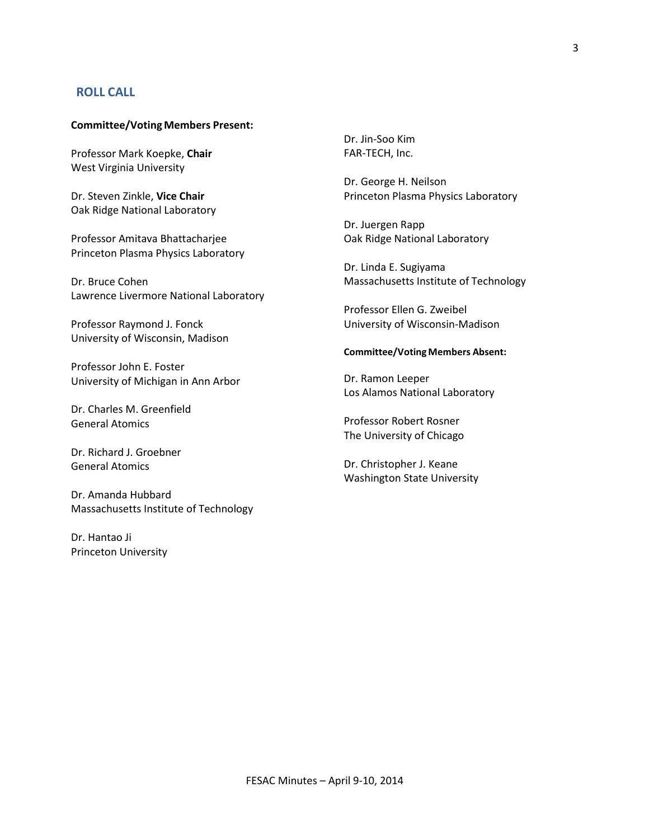### **ROLL CALL**

#### **Committee/Voting Members Present:**

Professor Mark Koepke, **Chair** West Virginia University

Dr. Steven Zinkle, **Vice Chair** Oak Ridge National Laboratory

Professor Amitava Bhattacharjee Princeton Plasma Physics Laboratory

Dr. Bruce Cohen Lawrence Livermore National Laboratory

Professor Raymond J. Fonck University of Wisconsin, Madison

Professor John E. Foster University of Michigan in Ann Arbor

Dr. Charles M. Greenfield General Atomics

Dr. Richard J. Groebner General Atomics

Dr. Amanda Hubbard Massachusetts Institute of Technology

Dr. Hantao Ji Princeton University Dr. Jin-Soo Kim FAR-TECH, Inc.

Dr. George H. Neilson Princeton Plasma Physics Laboratory

Dr. Juergen Rapp Oak Ridge National Laboratory

Dr. Linda E. Sugiyama Massachusetts Institute of Technology

Professor Ellen G. Zweibel University of Wisconsin-Madison

#### **Committee/Voting Members Absent:**

Dr. Ramon Leeper Los Alamos National Laboratory

Professor Robert Rosner The University of Chicago

Dr. Christopher J. Keane Washington State University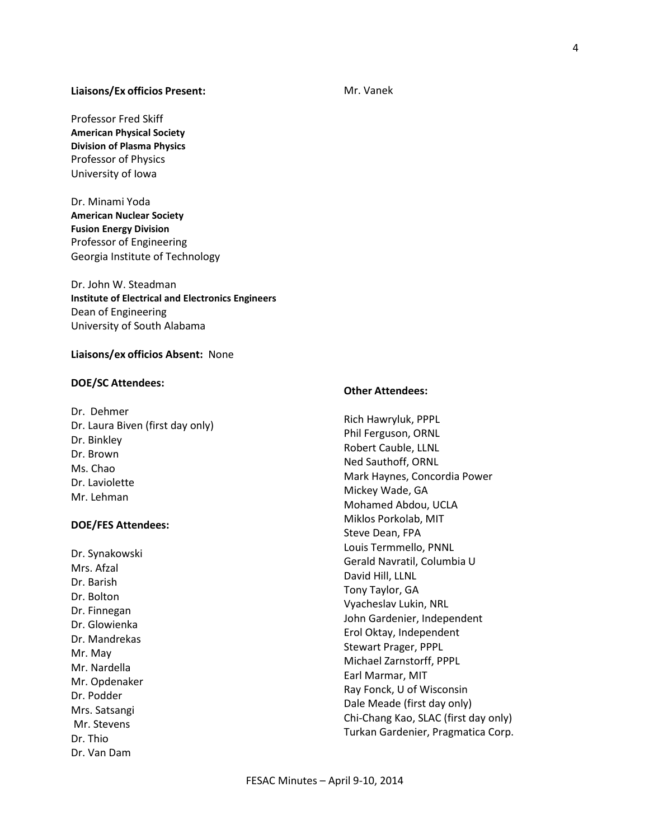#### **Liaisons/Ex officios Present:**

Professor Fred Skiff **American Physical Society Division of Plasma Physics** Professor of Physics University of Iowa

Dr. Minami Yoda **American Nuclear Society Fusion Energy Division** Professor of Engineering Georgia Institute of Technology

Dr. John W. Steadman **Institute of Electrical and Electronics Engineers** Dean of Engineering University of South Alabama

#### **Liaisons/ex officios Absent:** None

#### **DOE/SC Attendees:**

Dr. Dehmer Dr. Laura Biven (first day only) Dr. Binkley Dr. Brown Ms. Chao Dr. Laviolette Mr. Lehman

#### **DOE/FES Attendees:**

Dr. Synakowski Mrs. Afzal Dr. Barish Dr. Bolton Dr. Finnegan Dr. Glowienka Dr. Mandrekas Mr. May Mr. Nardella Mr. Opdenaker Dr. Podder Mrs. Satsangi Mr. Stevens Dr. Thio Dr. Van Dam

# **Other Attendees:**

Rich Hawryluk, PPPL Phil Ferguson, ORNL Robert Cauble, LLNL Ned Sauthoff, ORNL Mark Haynes, Concordia Power Mickey Wade, GA Mohamed Abdou, UCLA Miklos Porkolab, MIT Steve Dean, FPA Louis Termmello, PNNL Gerald Navratil, Columbia U David Hill, LLNL Tony Taylor, GA Vyacheslav Lukin, NRL John Gardenier, Independent Erol Oktay, Independent Stewart Prager, PPPL Michael Zarnstorff, PPPL Earl Marmar, MIT Ray Fonck, U of Wisconsin Dale Meade (first day only) Chi-Chang Kao, SLAC (first day only) Turkan Gardenier, Pragmatica Corp.

### Mr. Vanek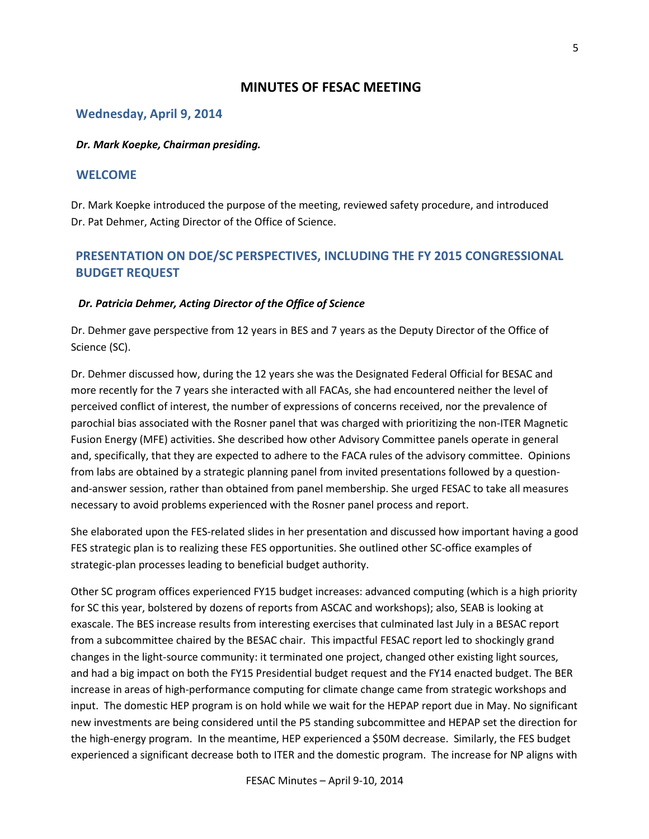## **MINUTES OF FESAC MEETING**

### **Wednesday, April 9, 2014**

#### *Dr. Mark Koepke, Chairman presiding.*

### **WELCOME**

Dr. Mark Koepke introduced the purpose of the meeting, reviewed safety procedure, and introduced Dr. Pat Dehmer, Acting Director of the Office of Science.

# **PRESENTATION ON DOE/SC PERSPECTIVES, INCLUDING THE FY 2015 CONGRESSIONAL BUDGET REQUEST**

#### *Dr. Patricia Dehmer, Acting Director of the Office of Science*

Dr. Dehmer gave perspective from 12 years in BES and 7 years as the Deputy Director of the Office of Science (SC).

Dr. Dehmer discussed how, during the 12 years she was the Designated Federal Official for BESAC and more recently for the 7 years she interacted with all FACAs, she had encountered neither the level of perceived conflict of interest, the number of expressions of concerns received, nor the prevalence of parochial bias associated with the Rosner panel that was charged with prioritizing the non-ITER Magnetic Fusion Energy (MFE) activities. She described how other Advisory Committee panels operate in general and, specifically, that they are expected to adhere to the FACA rules of the advisory committee. Opinions from labs are obtained by a strategic planning panel from invited presentations followed by a questionand-answer session, rather than obtained from panel membership. She urged FESAC to take all measures necessary to avoid problems experienced with the Rosner panel process and report.

She elaborated upon the FES-related slides in her presentation and discussed how important having a good FES strategic plan is to realizing these FES opportunities. She outlined other SC-office examples of strategic-plan processes leading to beneficial budget authority.

Other SC program offices experienced FY15 budget increases: advanced computing (which is a high priority for SC this year, bolstered by dozens of reports from ASCAC and workshops); also, SEAB is looking at exascale. The BES increase results from interesting exercises that culminated last July in a BESAC report from a subcommittee chaired by the BESAC chair. This impactful FESAC report led to shockingly grand changes in the light-source community: it terminated one project, changed other existing light sources, and had a big impact on both the FY15 Presidential budget request and the FY14 enacted budget. The BER increase in areas of high-performance computing for climate change came from strategic workshops and input. The domestic HEP program is on hold while we wait for the HEPAP report due in May. No significant new investments are being considered until the P5 standing subcommittee and HEPAP set the direction for the high-energy program. In the meantime, HEP experienced a \$50M decrease. Similarly, the FES budget experienced a significant decrease both to ITER and the domestic program. The increase for NP aligns with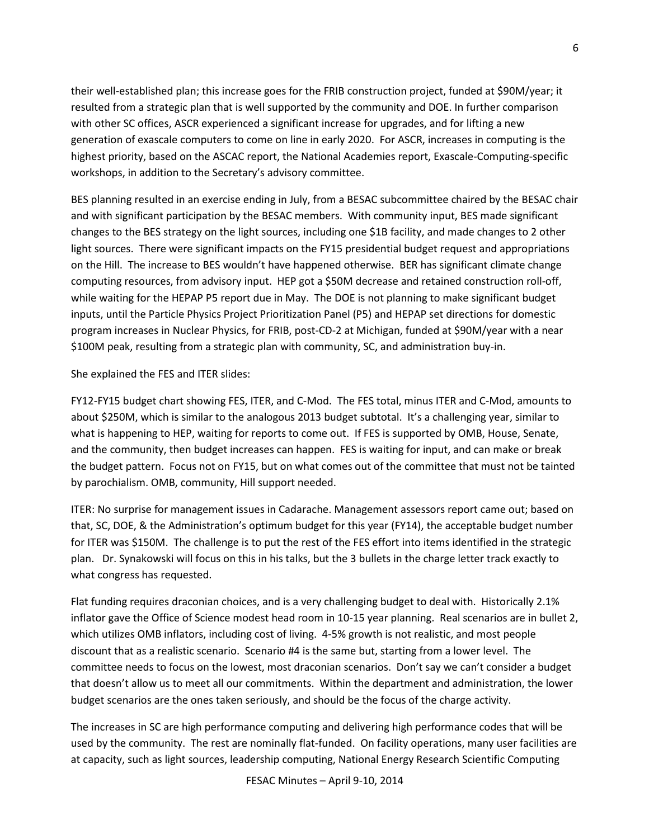their well-established plan; this increase goes for the FRIB construction project, funded at \$90M/year; it resulted from a strategic plan that is well supported by the community and DOE. In further comparison with other SC offices, ASCR experienced a significant increase for upgrades, and for lifting a new generation of exascale computers to come on line in early 2020. For ASCR, increases in computing is the highest priority, based on the ASCAC report, the National Academies report, Exascale-Computing-specific workshops, in addition to the Secretary's advisory committee.

BES planning resulted in an exercise ending in July, from a BESAC subcommittee chaired by the BESAC chair and with significant participation by the BESAC members. With community input, BES made significant changes to the BES strategy on the light sources, including one \$1B facility, and made changes to 2 other light sources. There were significant impacts on the FY15 presidential budget request and appropriations on the Hill. The increase to BES wouldn't have happened otherwise. BER has significant climate change computing resources, from advisory input. HEP got a \$50M decrease and retained construction roll-off, while waiting for the HEPAP P5 report due in May. The DOE is not planning to make significant budget inputs, until the Particle Physics Project Prioritization Panel (P5) and HEPAP set directions for domestic program increases in Nuclear Physics, for FRIB, post-CD-2 at Michigan, funded at \$90M/year with a near \$100M peak, resulting from a strategic plan with community, SC, and administration buy-in.

She explained the FES and ITER slides:

FY12-FY15 budget chart showing FES, ITER, and C-Mod. The FES total, minus ITER and C-Mod, amounts to about \$250M, which is similar to the analogous 2013 budget subtotal. It's a challenging year, similar to what is happening to HEP, waiting for reports to come out. If FES is supported by OMB, House, Senate, and the community, then budget increases can happen. FES is waiting for input, and can make or break the budget pattern. Focus not on FY15, but on what comes out of the committee that must not be tainted by parochialism. OMB, community, Hill support needed.

ITER: No surprise for management issues in Cadarache. Management assessors report came out; based on that, SC, DOE, & the Administration's optimum budget for this year (FY14), the acceptable budget number for ITER was \$150M. The challenge is to put the rest of the FES effort into items identified in the strategic plan. Dr. Synakowski will focus on this in his talks, but the 3 bullets in the charge letter track exactly to what congress has requested.

Flat funding requires draconian choices, and is a very challenging budget to deal with. Historically 2.1% inflator gave the Office of Science modest head room in 10-15 year planning. Real scenarios are in bullet 2, which utilizes OMB inflators, including cost of living. 4-5% growth is not realistic, and most people discount that as a realistic scenario. Scenario #4 is the same but, starting from a lower level. The committee needs to focus on the lowest, most draconian scenarios. Don't say we can't consider a budget that doesn't allow us to meet all our commitments. Within the department and administration, the lower budget scenarios are the ones taken seriously, and should be the focus of the charge activity.

The increases in SC are high performance computing and delivering high performance codes that will be used by the community. The rest are nominally flat-funded. On facility operations, many user facilities are at capacity, such as light sources, leadership computing, National Energy Research Scientific Computing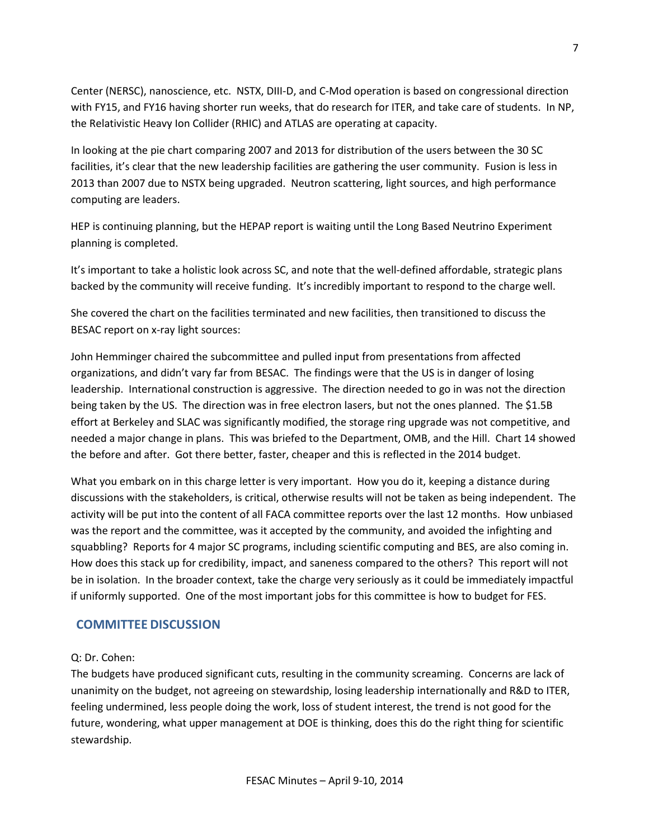Center (NERSC), nanoscience, etc. NSTX, DIII-D, and C-Mod operation is based on congressional direction with FY15, and FY16 having shorter run weeks, that do research for ITER, and take care of students. In NP, the Relativistic Heavy Ion Collider (RHIC) and ATLAS are operating at capacity.

In looking at the pie chart comparing 2007 and 2013 for distribution of the users between the 30 SC facilities, it's clear that the new leadership facilities are gathering the user community. Fusion is less in 2013 than 2007 due to NSTX being upgraded. Neutron scattering, light sources, and high performance computing are leaders.

HEP is continuing planning, but the HEPAP report is waiting until the Long Based Neutrino Experiment planning is completed.

It's important to take a holistic look across SC, and note that the well-defined affordable, strategic plans backed by the community will receive funding. It's incredibly important to respond to the charge well.

She covered the chart on the facilities terminated and new facilities, then transitioned to discuss the BESAC report on x-ray light sources:

John Hemminger chaired the subcommittee and pulled input from presentations from affected organizations, and didn't vary far from BESAC. The findings were that the US is in danger of losing leadership. International construction is aggressive. The direction needed to go in was not the direction being taken by the US. The direction was in free electron lasers, but not the ones planned. The \$1.5B effort at Berkeley and SLAC was significantly modified, the storage ring upgrade was not competitive, and needed a major change in plans. This was briefed to the Department, OMB, and the Hill. Chart 14 showed the before and after. Got there better, faster, cheaper and this is reflected in the 2014 budget.

What you embark on in this charge letter is very important. How you do it, keeping a distance during discussions with the stakeholders, is critical, otherwise results will not be taken as being independent. The activity will be put into the content of all FACA committee reports over the last 12 months. How unbiased was the report and the committee, was it accepted by the community, and avoided the infighting and squabbling? Reports for 4 major SC programs, including scientific computing and BES, are also coming in. How does this stack up for credibility, impact, and saneness compared to the others? This report will not be in isolation. In the broader context, take the charge very seriously as it could be immediately impactful if uniformly supported. One of the most important jobs for this committee is how to budget for FES.

## **COMMITTEE DISCUSSION**

### Q: Dr. Cohen:

The budgets have produced significant cuts, resulting in the community screaming. Concerns are lack of unanimity on the budget, not agreeing on stewardship, losing leadership internationally and R&D to ITER, feeling undermined, less people doing the work, loss of student interest, the trend is not good for the future, wondering, what upper management at DOE is thinking, does this do the right thing for scientific stewardship.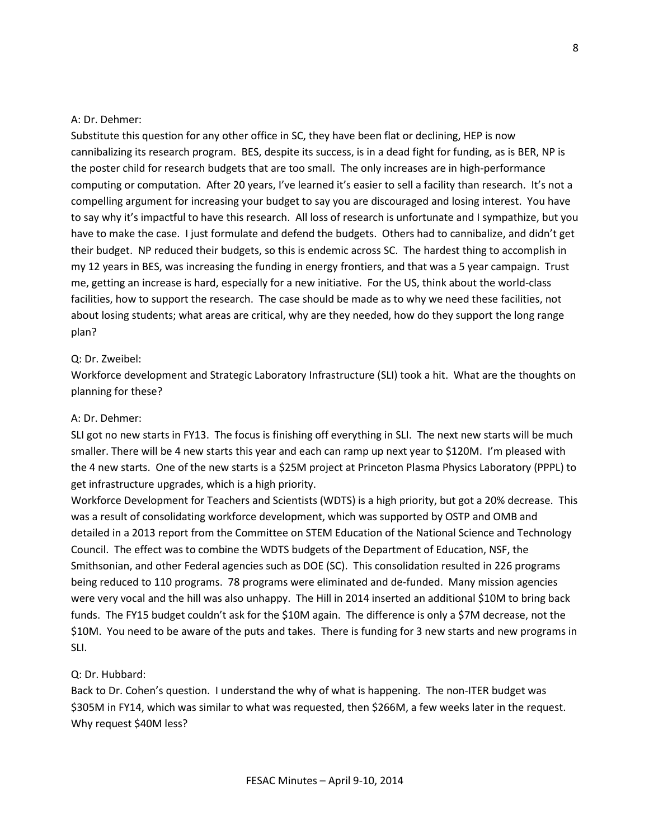#### A: Dr. Dehmer:

Substitute this question for any other office in SC, they have been flat or declining, HEP is now cannibalizing its research program. BES, despite its success, is in a dead fight for funding, as is BER, NP is the poster child for research budgets that are too small. The only increases are in high-performance computing or computation. After 20 years, I've learned it's easier to sell a facility than research. It's not a compelling argument for increasing your budget to say you are discouraged and losing interest. You have to say why it's impactful to have this research. All loss of research is unfortunate and I sympathize, but you have to make the case. I just formulate and defend the budgets. Others had to cannibalize, and didn't get their budget. NP reduced their budgets, so this is endemic across SC. The hardest thing to accomplish in my 12 years in BES, was increasing the funding in energy frontiers, and that was a 5 year campaign. Trust me, getting an increase is hard, especially for a new initiative. For the US, think about the world-class facilities, how to support the research. The case should be made as to why we need these facilities, not about losing students; what areas are critical, why are they needed, how do they support the long range plan?

### Q: Dr. Zweibel:

Workforce development and Strategic Laboratory Infrastructure (SLI) took a hit. What are the thoughts on planning for these?

#### A: Dr. Dehmer:

SLI got no new starts in FY13. The focus is finishing off everything in SLI. The next new starts will be much smaller. There will be 4 new starts this year and each can ramp up next year to \$120M. I'm pleased with the 4 new starts. One of the new starts is a \$25M project at Princeton Plasma Physics Laboratory (PPPL) to get infrastructure upgrades, which is a high priority.

Workforce Development for Teachers and Scientists (WDTS) is a high priority, but got a 20% decrease. This was a result of consolidating workforce development, which was supported by OSTP and OMB and detailed in a 2013 report from the Committee on STEM Education of the National Science and Technology Council. The effect was to combine the WDTS budgets of the Department of Education, NSF, the Smithsonian, and other Federal agencies such as DOE (SC). This consolidation resulted in 226 programs being reduced to 110 programs. 78 programs were eliminated and de-funded. Many mission agencies were very vocal and the hill was also unhappy. The Hill in 2014 inserted an additional \$10M to bring back funds. The FY15 budget couldn't ask for the \$10M again. The difference is only a \$7M decrease, not the \$10M. You need to be aware of the puts and takes. There is funding for 3 new starts and new programs in SLI.

### Q: Dr. Hubbard:

Back to Dr. Cohen's question. I understand the why of what is happening. The non-ITER budget was \$305M in FY14, which was similar to what was requested, then \$266M, a few weeks later in the request. Why request \$40M less?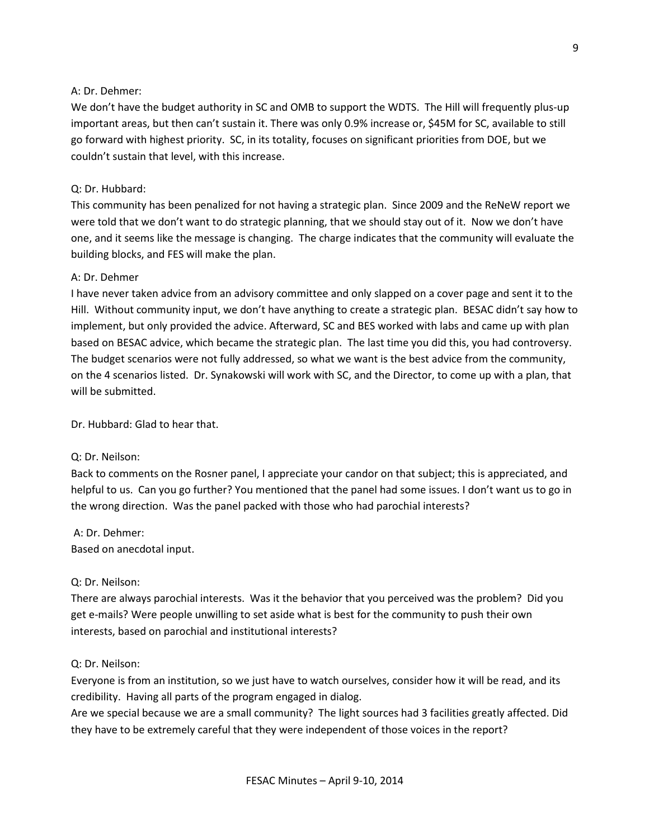### A: Dr. Dehmer:

We don't have the budget authority in SC and OMB to support the WDTS. The Hill will frequently plus-up important areas, but then can't sustain it. There was only 0.9% increase or, \$45M for SC, available to still go forward with highest priority. SC, in its totality, focuses on significant priorities from DOE, but we couldn't sustain that level, with this increase.

#### Q: Dr. Hubbard:

This community has been penalized for not having a strategic plan. Since 2009 and the ReNeW report we were told that we don't want to do strategic planning, that we should stay out of it. Now we don't have one, and it seems like the message is changing. The charge indicates that the community will evaluate the building blocks, and FES will make the plan.

#### A: Dr. Dehmer

I have never taken advice from an advisory committee and only slapped on a cover page and sent it to the Hill. Without community input, we don't have anything to create a strategic plan. BESAC didn't say how to implement, but only provided the advice. Afterward, SC and BES worked with labs and came up with plan based on BESAC advice, which became the strategic plan. The last time you did this, you had controversy. The budget scenarios were not fully addressed, so what we want is the best advice from the community, on the 4 scenarios listed. Dr. Synakowski will work with SC, and the Director, to come up with a plan, that will be submitted.

Dr. Hubbard: Glad to hear that.

#### Q: Dr. Neilson:

Back to comments on the Rosner panel, I appreciate your candor on that subject; this is appreciated, and helpful to us. Can you go further? You mentioned that the panel had some issues. I don't want us to go in the wrong direction. Was the panel packed with those who had parochial interests?

A: Dr. Dehmer: Based on anecdotal input.

### Q: Dr. Neilson:

There are always parochial interests. Was it the behavior that you perceived was the problem? Did you get e-mails? Were people unwilling to set aside what is best for the community to push their own interests, based on parochial and institutional interests?

#### Q: Dr. Neilson:

Everyone is from an institution, so we just have to watch ourselves, consider how it will be read, and its credibility. Having all parts of the program engaged in dialog.

Are we special because we are a small community? The light sources had 3 facilities greatly affected. Did they have to be extremely careful that they were independent of those voices in the report?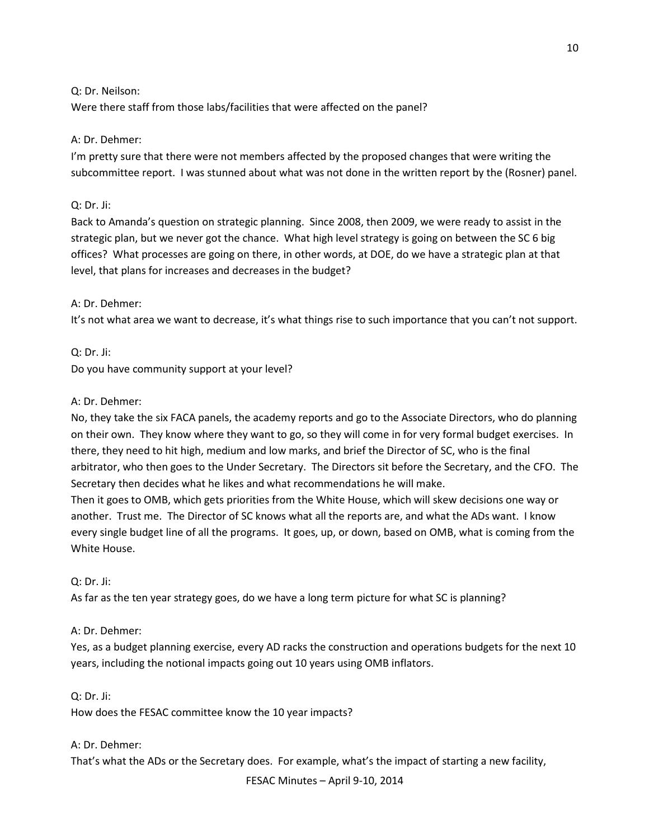Q: Dr. Neilson:

Were there staff from those labs/facilities that were affected on the panel?

### A: Dr. Dehmer:

I'm pretty sure that there were not members affected by the proposed changes that were writing the subcommittee report. I was stunned about what was not done in the written report by the (Rosner) panel.

### Q: Dr. Ji:

Back to Amanda's question on strategic planning. Since 2008, then 2009, we were ready to assist in the strategic plan, but we never got the chance. What high level strategy is going on between the SC 6 big offices? What processes are going on there, in other words, at DOE, do we have a strategic plan at that level, that plans for increases and decreases in the budget?

#### A: Dr. Dehmer:

It's not what area we want to decrease, it's what things rise to such importance that you can't not support.

Q: Dr. Ji: Do you have community support at your level?

### A: Dr. Dehmer:

No, they take the six FACA panels, the academy reports and go to the Associate Directors, who do planning on their own. They know where they want to go, so they will come in for very formal budget exercises. In there, they need to hit high, medium and low marks, and brief the Director of SC, who is the final arbitrator, who then goes to the Under Secretary. The Directors sit before the Secretary, and the CFO. The Secretary then decides what he likes and what recommendations he will make.

Then it goes to OMB, which gets priorities from the White House, which will skew decisions one way or another. Trust me. The Director of SC knows what all the reports are, and what the ADs want. I know every single budget line of all the programs. It goes, up, or down, based on OMB, what is coming from the White House.

Q: Dr. Ji:

As far as the ten year strategy goes, do we have a long term picture for what SC is planning?

### A: Dr. Dehmer:

Yes, as a budget planning exercise, every AD racks the construction and operations budgets for the next 10 years, including the notional impacts going out 10 years using OMB inflators.

Q: Dr. Ji:

How does the FESAC committee know the 10 year impacts?

## A: Dr. Dehmer:

That's what the ADs or the Secretary does. For example, what's the impact of starting a new facility,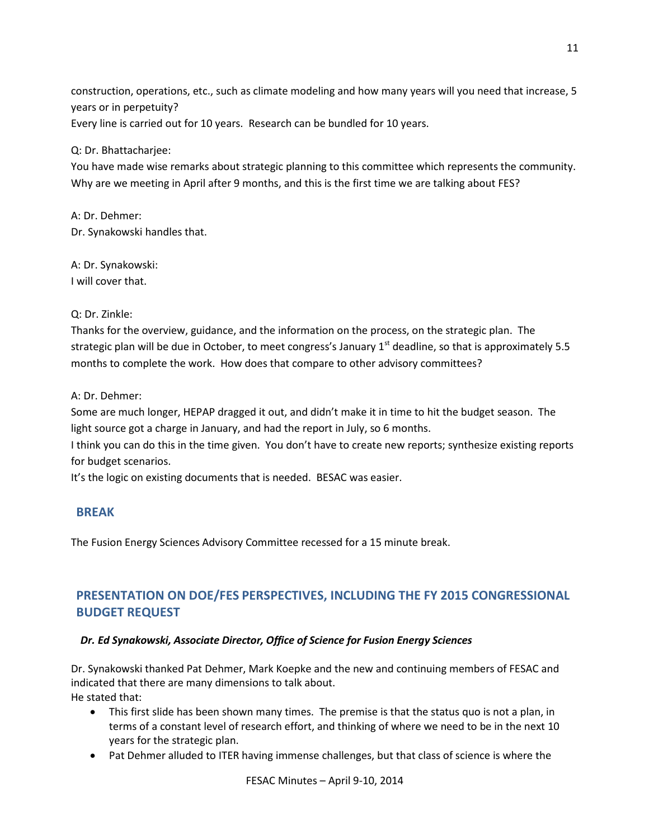construction, operations, etc., such as climate modeling and how many years will you need that increase, 5 years or in perpetuity? Every line is carried out for 10 years. Research can be bundled for 10 years.

### Q: Dr. Bhattacharjee:

You have made wise remarks about strategic planning to this committee which represents the community. Why are we meeting in April after 9 months, and this is the first time we are talking about FES?

A: Dr. Dehmer: Dr. Synakowski handles that.

A: Dr. Synakowski: I will cover that.

### Q: Dr. Zinkle:

Thanks for the overview, guidance, and the information on the process, on the strategic plan. The strategic plan will be due in October, to meet congress's January  $1<sup>st</sup>$  deadline, so that is approximately 5.5 months to complete the work. How does that compare to other advisory committees?

A: Dr. Dehmer:

Some are much longer, HEPAP dragged it out, and didn't make it in time to hit the budget season. The light source got a charge in January, and had the report in July, so 6 months.

I think you can do this in the time given. You don't have to create new reports; synthesize existing reports for budget scenarios.

It's the logic on existing documents that is needed. BESAC was easier.

## **BREAK**

The Fusion Energy Sciences Advisory Committee recessed for a 15 minute break.

# **PRESENTATION ON DOE/FES PERSPECTIVES, INCLUDING THE FY 2015 CONGRESSIONAL BUDGET REQUEST**

## *Dr. Ed Synakowski, Associate Director, Office of Science for Fusion Energy Sciences*

Dr. Synakowski thanked Pat Dehmer, Mark Koepke and the new and continuing members of FESAC and indicated that there are many dimensions to talk about. He stated that:

- This first slide has been shown many times. The premise is that the status quo is not a plan, in terms of a constant level of research effort, and thinking of where we need to be in the next 10 years for the strategic plan.
- Pat Dehmer alluded to ITER having immense challenges, but that class of science is where the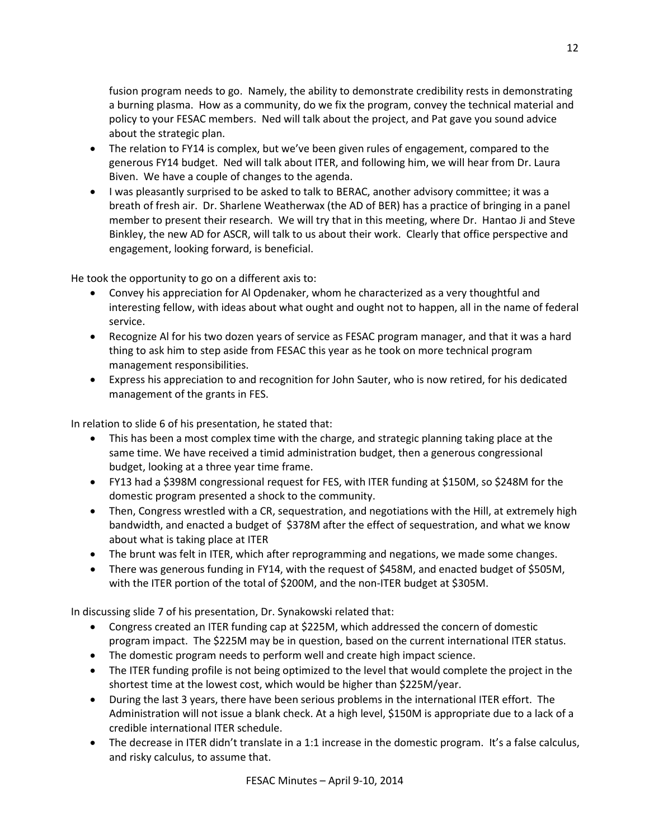fusion program needs to go. Namely, the ability to demonstrate credibility rests in demonstrating a burning plasma. How as a community, do we fix the program, convey the technical material and policy to your FESAC members. Ned will talk about the project, and Pat gave you sound advice about the strategic plan.

- The relation to FY14 is complex, but we've been given rules of engagement, compared to the generous FY14 budget. Ned will talk about ITER, and following him, we will hear from Dr. Laura Biven. We have a couple of changes to the agenda.
- I was pleasantly surprised to be asked to talk to BERAC, another advisory committee; it was a breath of fresh air. Dr. Sharlene Weatherwax (the AD of BER) has a practice of bringing in a panel member to present their research. We will try that in this meeting, where Dr. Hantao Ji and Steve Binkley, the new AD for ASCR, will talk to us about their work. Clearly that office perspective and engagement, looking forward, is beneficial.

He took the opportunity to go on a different axis to:

- Convey his appreciation for Al Opdenaker, whom he characterized as a very thoughtful and interesting fellow, with ideas about what ought and ought not to happen, all in the name of federal service.
- Recognize Al for his two dozen years of service as FESAC program manager, and that it was a hard thing to ask him to step aside from FESAC this year as he took on more technical program management responsibilities.
- Express his appreciation to and recognition for John Sauter, who is now retired, for his dedicated management of the grants in FES.

In relation to slide 6 of his presentation, he stated that:

- This has been a most complex time with the charge, and strategic planning taking place at the same time. We have received a timid administration budget, then a generous congressional budget, looking at a three year time frame.
- FY13 had a \$398M congressional request for FES, with ITER funding at \$150M, so \$248M for the domestic program presented a shock to the community.
- Then, Congress wrestled with a CR, sequestration, and negotiations with the Hill, at extremely high bandwidth, and enacted a budget of \$378M after the effect of sequestration, and what we know about what is taking place at ITER
- The brunt was felt in ITER, which after reprogramming and negations, we made some changes.
- There was generous funding in FY14, with the request of \$458M, and enacted budget of \$505M, with the ITER portion of the total of \$200M, and the non-ITER budget at \$305M.

In discussing slide 7 of his presentation, Dr. Synakowski related that:

- Congress created an ITER funding cap at \$225M, which addressed the concern of domestic program impact. The \$225M may be in question, based on the current international ITER status.
- The domestic program needs to perform well and create high impact science.
- The ITER funding profile is not being optimized to the level that would complete the project in the shortest time at the lowest cost, which would be higher than \$225M/year.
- During the last 3 years, there have been serious problems in the international ITER effort. The Administration will not issue a blank check. At a high level, \$150M is appropriate due to a lack of a credible international ITER schedule.
- The decrease in ITER didn't translate in a 1:1 increase in the domestic program. It's a false calculus, and risky calculus, to assume that.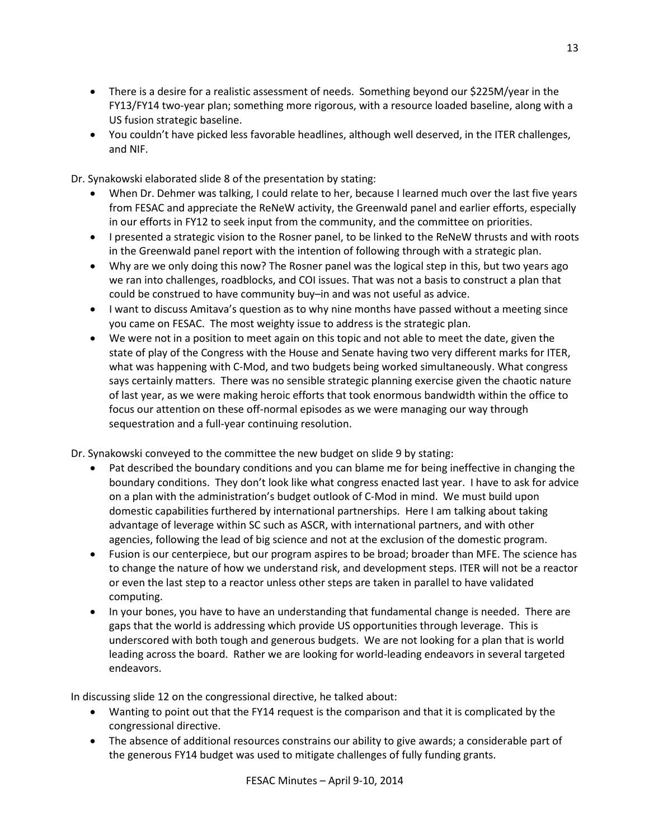- There is a desire for a realistic assessment of needs. Something beyond our \$225M/year in the FY13/FY14 two-year plan; something more rigorous, with a resource loaded baseline, along with a US fusion strategic baseline.
- You couldn't have picked less favorable headlines, although well deserved, in the ITER challenges, and NIF.

Dr. Synakowski elaborated slide 8 of the presentation by stating:

- When Dr. Dehmer was talking, I could relate to her, because I learned much over the last five years from FESAC and appreciate the ReNeW activity, the Greenwald panel and earlier efforts, especially in our efforts in FY12 to seek input from the community, and the committee on priorities.
- I presented a strategic vision to the Rosner panel, to be linked to the ReNeW thrusts and with roots in the Greenwald panel report with the intention of following through with a strategic plan.
- Why are we only doing this now? The Rosner panel was the logical step in this, but two years ago we ran into challenges, roadblocks, and COI issues. That was not a basis to construct a plan that could be construed to have community buy–in and was not useful as advice.
- I want to discuss Amitava's question as to why nine months have passed without a meeting since you came on FESAC. The most weighty issue to address is the strategic plan.
- We were not in a position to meet again on this topic and not able to meet the date, given the state of play of the Congress with the House and Senate having two very different marks for ITER, what was happening with C-Mod, and two budgets being worked simultaneously. What congress says certainly matters. There was no sensible strategic planning exercise given the chaotic nature of last year, as we were making heroic efforts that took enormous bandwidth within the office to focus our attention on these off-normal episodes as we were managing our way through sequestration and a full-year continuing resolution.

Dr. Synakowski conveyed to the committee the new budget on slide 9 by stating:

- Pat described the boundary conditions and you can blame me for being ineffective in changing the boundary conditions. They don't look like what congress enacted last year. I have to ask for advice on a plan with the administration's budget outlook of C-Mod in mind. We must build upon domestic capabilities furthered by international partnerships. Here I am talking about taking advantage of leverage within SC such as ASCR, with international partners, and with other agencies, following the lead of big science and not at the exclusion of the domestic program.
- Fusion is our centerpiece, but our program aspires to be broad; broader than MFE. The science has to change the nature of how we understand risk, and development steps. ITER will not be a reactor or even the last step to a reactor unless other steps are taken in parallel to have validated computing.
- In your bones, you have to have an understanding that fundamental change is needed. There are gaps that the world is addressing which provide US opportunities through leverage. This is underscored with both tough and generous budgets. We are not looking for a plan that is world leading across the board. Rather we are looking for world-leading endeavors in several targeted endeavors.

In discussing slide 12 on the congressional directive, he talked about:

- Wanting to point out that the FY14 request is the comparison and that it is complicated by the congressional directive.
- The absence of additional resources constrains our ability to give awards; a considerable part of the generous FY14 budget was used to mitigate challenges of fully funding grants.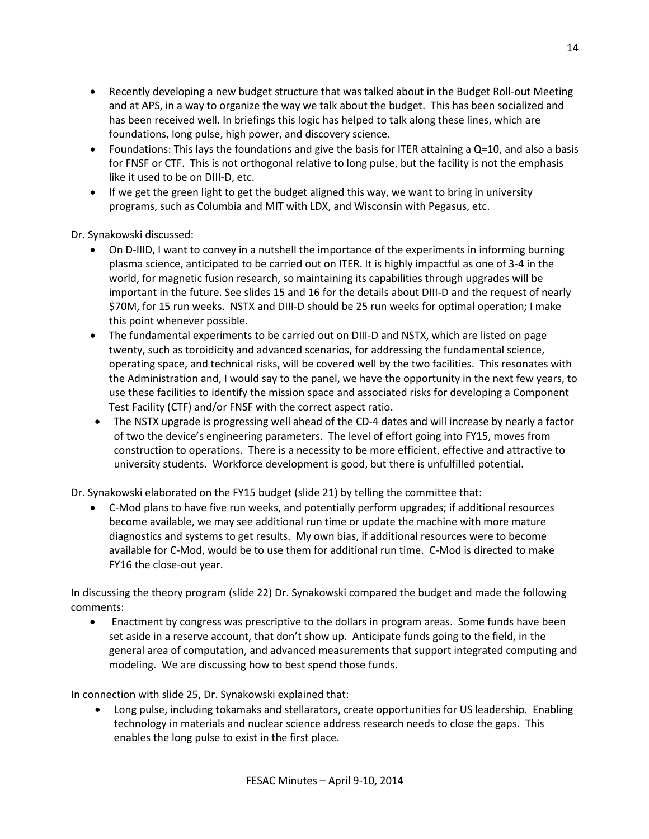- Recently developing a new budget structure that was talked about in the Budget Roll-out Meeting and at APS, in a way to organize the way we talk about the budget. This has been socialized and has been received well. In briefings this logic has helped to talk along these lines, which are foundations, long pulse, high power, and discovery science.
- Foundations: This lays the foundations and give the basis for ITER attaining a  $Q=10$ , and also a basis for FNSF or CTF. This is not orthogonal relative to long pulse, but the facility is not the emphasis like it used to be on DIII-D, etc.
- If we get the green light to get the budget aligned this way, we want to bring in university programs, such as Columbia and MIT with LDX, and Wisconsin with Pegasus, etc.

Dr. Synakowski discussed:

- On D-IIID, I want to convey in a nutshell the importance of the experiments in informing burning plasma science, anticipated to be carried out on ITER. It is highly impactful as one of 3-4 in the world, for magnetic fusion research, so maintaining its capabilities through upgrades will be important in the future. See slides 15 and 16 for the details about DIII-D and the request of nearly \$70M, for 15 run weeks. NSTX and DIII-D should be 25 run weeks for optimal operation; I make this point whenever possible.
- The fundamental experiments to be carried out on DIII-D and NSTX, which are listed on page twenty, such as toroidicity and advanced scenarios, for addressing the fundamental science, operating space, and technical risks, will be covered well by the two facilities. This resonates with the Administration and, I would say to the panel, we have the opportunity in the next few years, to use these facilities to identify the mission space and associated risks for developing a Component Test Facility (CTF) and/or FNSF with the correct aspect ratio.
- The NSTX upgrade is progressing well ahead of the CD-4 dates and will increase by nearly a factor of two the device's engineering parameters. The level of effort going into FY15, moves from construction to operations. There is a necessity to be more efficient, effective and attractive to university students. Workforce development is good, but there is unfulfilled potential.

Dr. Synakowski elaborated on the FY15 budget (slide 21) by telling the committee that:

• C-Mod plans to have five run weeks, and potentially perform upgrades; if additional resources become available, we may see additional run time or update the machine with more mature diagnostics and systems to get results. My own bias, if additional resources were to become available for C-Mod, would be to use them for additional run time. C-Mod is directed to make FY16 the close-out year.

In discussing the theory program (slide 22) Dr. Synakowski compared the budget and made the following comments:

• Enactment by congress was prescriptive to the dollars in program areas. Some funds have been set aside in a reserve account, that don't show up. Anticipate funds going to the field, in the general area of computation, and advanced measurements that support integrated computing and modeling. We are discussing how to best spend those funds.

In connection with slide 25, Dr. Synakowski explained that:

• Long pulse, including tokamaks and stellarators, create opportunities for US leadership. Enabling technology in materials and nuclear science address research needs to close the gaps. This enables the long pulse to exist in the first place.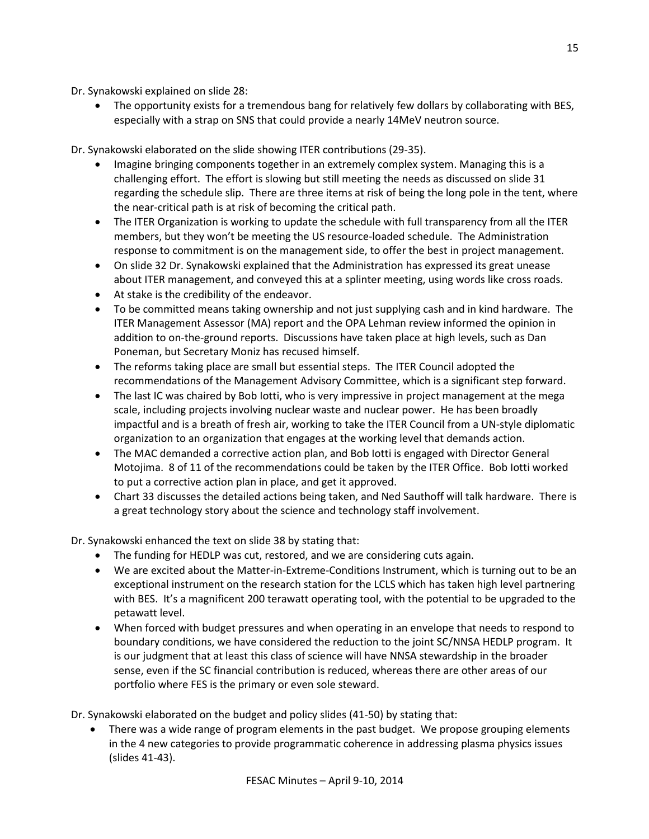Dr. Synakowski explained on slide 28:

• The opportunity exists for a tremendous bang for relatively few dollars by collaborating with BES, especially with a strap on SNS that could provide a nearly 14MeV neutron source.

Dr. Synakowski elaborated on the slide showing ITER contributions (29-35).

- Imagine bringing components together in an extremely complex system. Managing this is a challenging effort. The effort is slowing but still meeting the needs as discussed on slide 31 regarding the schedule slip. There are three items at risk of being the long pole in the tent, where the near-critical path is at risk of becoming the critical path.
- The ITER Organization is working to update the schedule with full transparency from all the ITER members, but they won't be meeting the US resource-loaded schedule. The Administration response to commitment is on the management side, to offer the best in project management.
- On slide 32 Dr. Synakowski explained that the Administration has expressed its great unease about ITER management, and conveyed this at a splinter meeting, using words like cross roads.
- At stake is the credibility of the endeavor.
- To be committed means taking ownership and not just supplying cash and in kind hardware. The ITER Management Assessor (MA) report and the OPA Lehman review informed the opinion in addition to on-the-ground reports. Discussions have taken place at high levels, such as Dan Poneman, but Secretary Moniz has recused himself.
- The reforms taking place are small but essential steps. The ITER Council adopted the recommendations of the Management Advisory Committee, which is a significant step forward.
- The last IC was chaired by Bob Iotti, who is very impressive in project management at the mega scale, including projects involving nuclear waste and nuclear power. He has been broadly impactful and is a breath of fresh air, working to take the ITER Council from a UN-style diplomatic organization to an organization that engages at the working level that demands action.
- The MAC demanded a corrective action plan, and Bob Iotti is engaged with Director General Motojima. 8 of 11 of the recommendations could be taken by the ITER Office. Bob Iotti worked to put a corrective action plan in place, and get it approved.
- Chart 33 discusses the detailed actions being taken, and Ned Sauthoff will talk hardware. There is a great technology story about the science and technology staff involvement.

Dr. Synakowski enhanced the text on slide 38 by stating that:

- The funding for HEDLP was cut, restored, and we are considering cuts again.
- We are excited about the Matter-in-Extreme-Conditions Instrument, which is turning out to be an exceptional instrument on the research station for the LCLS which has taken high level partnering with BES. It's a magnificent 200 terawatt operating tool, with the potential to be upgraded to the petawatt level.
- When forced with budget pressures and when operating in an envelope that needs to respond to boundary conditions, we have considered the reduction to the joint SC/NNSA HEDLP program. It is our judgment that at least this class of science will have NNSA stewardship in the broader sense, even if the SC financial contribution is reduced, whereas there are other areas of our portfolio where FES is the primary or even sole steward.

Dr. Synakowski elaborated on the budget and policy slides (41-50) by stating that:

• There was a wide range of program elements in the past budget. We propose grouping elements in the 4 new categories to provide programmatic coherence in addressing plasma physics issues (slides 41-43).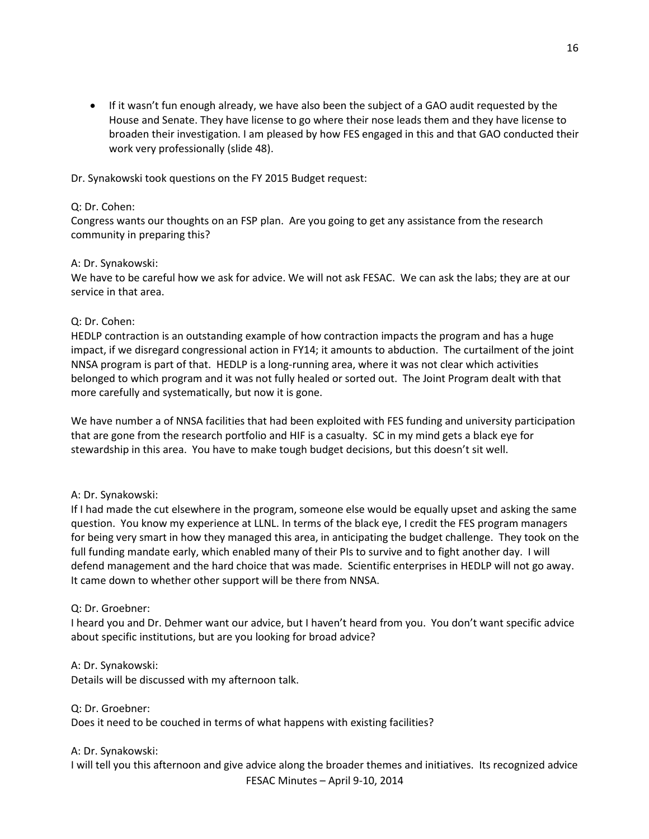• If it wasn't fun enough already, we have also been the subject of a GAO audit requested by the House and Senate. They have license to go where their nose leads them and they have license to broaden their investigation. I am pleased by how FES engaged in this and that GAO conducted their work very professionally (slide 48).

Dr. Synakowski took questions on the FY 2015 Budget request:

### Q: Dr. Cohen:

Congress wants our thoughts on an FSP plan. Are you going to get any assistance from the research community in preparing this?

### A: Dr. Synakowski:

We have to be careful how we ask for advice. We will not ask FESAC. We can ask the labs; they are at our service in that area.

### Q: Dr. Cohen:

HEDLP contraction is an outstanding example of how contraction impacts the program and has a huge impact, if we disregard congressional action in FY14; it amounts to abduction. The curtailment of the joint NNSA program is part of that. HEDLP is a long-running area, where it was not clear which activities belonged to which program and it was not fully healed or sorted out. The Joint Program dealt with that more carefully and systematically, but now it is gone.

We have number a of NNSA facilities that had been exploited with FES funding and university participation that are gone from the research portfolio and HIF is a casualty. SC in my mind gets a black eye for stewardship in this area. You have to make tough budget decisions, but this doesn't sit well.

## A: Dr. Synakowski:

If I had made the cut elsewhere in the program, someone else would be equally upset and asking the same question. You know my experience at LLNL. In terms of the black eye, I credit the FES program managers for being very smart in how they managed this area, in anticipating the budget challenge. They took on the full funding mandate early, which enabled many of their PIs to survive and to fight another day. I will defend management and the hard choice that was made. Scientific enterprises in HEDLP will not go away. It came down to whether other support will be there from NNSA.

### Q: Dr. Groebner:

I heard you and Dr. Dehmer want our advice, but I haven't heard from you. You don't want specific advice about specific institutions, but are you looking for broad advice?

A: Dr. Synakowski: Details will be discussed with my afternoon talk.

Q: Dr. Groebner: Does it need to be couched in terms of what happens with existing facilities?

## A: Dr. Synakowski:

FESAC Minutes – April 9-10, 2014 I will tell you this afternoon and give advice along the broader themes and initiatives. Its recognized advice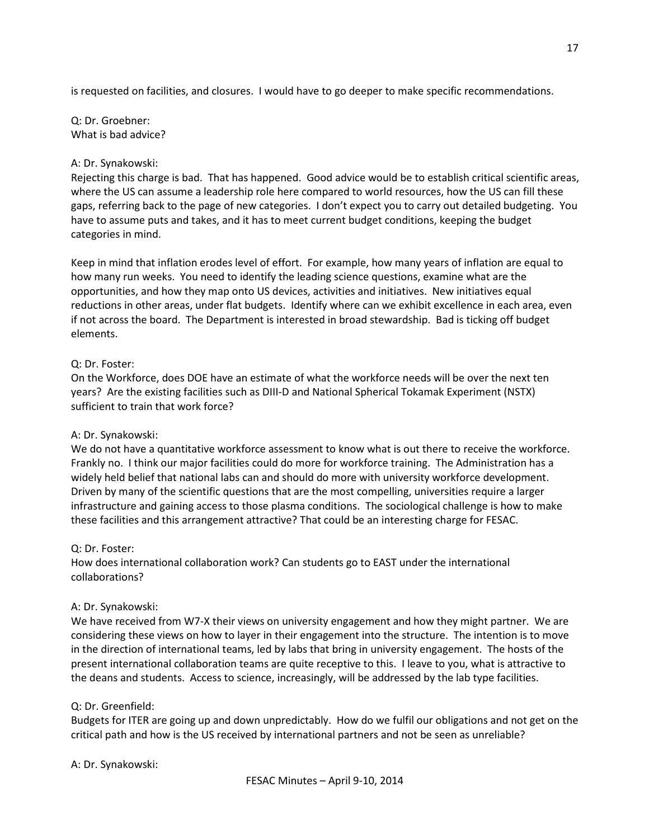is requested on facilities, and closures. I would have to go deeper to make specific recommendations.

Q: Dr. Groebner: What is bad advice?

### A: Dr. Synakowski:

Rejecting this charge is bad. That has happened. Good advice would be to establish critical scientific areas, where the US can assume a leadership role here compared to world resources, how the US can fill these gaps, referring back to the page of new categories. I don't expect you to carry out detailed budgeting. You have to assume puts and takes, and it has to meet current budget conditions, keeping the budget categories in mind.

Keep in mind that inflation erodes level of effort. For example, how many years of inflation are equal to how many run weeks. You need to identify the leading science questions, examine what are the opportunities, and how they map onto US devices, activities and initiatives. New initiatives equal reductions in other areas, under flat budgets. Identify where can we exhibit excellence in each area, even if not across the board. The Department is interested in broad stewardship. Bad is ticking off budget elements.

### Q: Dr. Foster:

On the Workforce, does DOE have an estimate of what the workforce needs will be over the next ten years? Are the existing facilities such as DIII-D and National Spherical Tokamak Experiment (NSTX) sufficient to train that work force?

### A: Dr. Synakowski:

We do not have a quantitative workforce assessment to know what is out there to receive the workforce. Frankly no. I think our major facilities could do more for workforce training. The Administration has a widely held belief that national labs can and should do more with university workforce development. Driven by many of the scientific questions that are the most compelling, universities require a larger infrastructure and gaining access to those plasma conditions. The sociological challenge is how to make these facilities and this arrangement attractive? That could be an interesting charge for FESAC.

### Q: Dr. Foster:

How does international collaboration work? Can students go to EAST under the international collaborations?

### A: Dr. Synakowski:

We have received from W7-X their views on university engagement and how they might partner. We are considering these views on how to layer in their engagement into the structure. The intention is to move in the direction of international teams, led by labs that bring in university engagement. The hosts of the present international collaboration teams are quite receptive to this. I leave to you, what is attractive to the deans and students. Access to science, increasingly, will be addressed by the lab type facilities.

### Q: Dr. Greenfield:

Budgets for ITER are going up and down unpredictably. How do we fulfil our obligations and not get on the critical path and how is the US received by international partners and not be seen as unreliable?

A: Dr. Synakowski: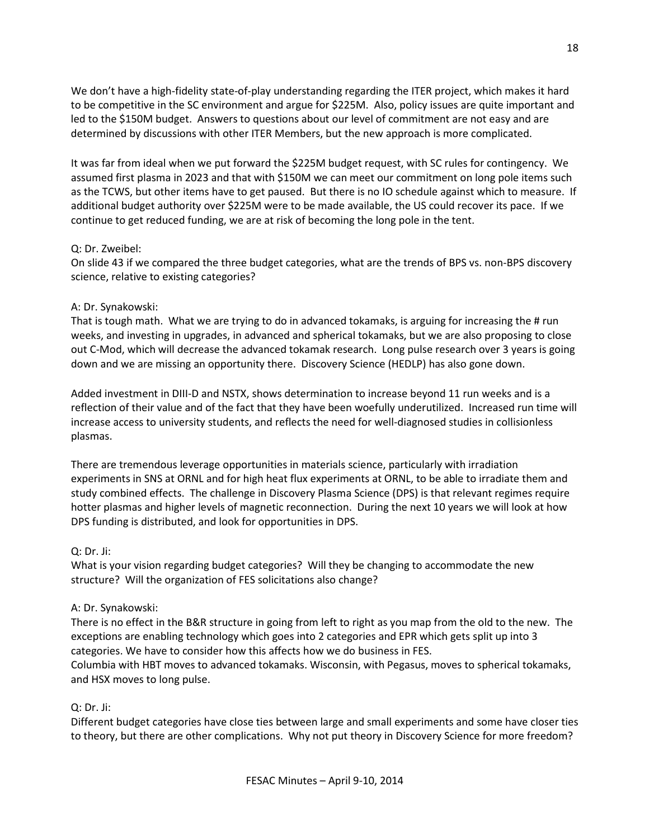We don't have a high-fidelity state-of-play understanding regarding the ITER project, which makes it hard to be competitive in the SC environment and argue for \$225M. Also, policy issues are quite important and led to the \$150M budget. Answers to questions about our level of commitment are not easy and are determined by discussions with other ITER Members, but the new approach is more complicated.

It was far from ideal when we put forward the \$225M budget request, with SC rules for contingency. We assumed first plasma in 2023 and that with \$150M we can meet our commitment on long pole items such as the TCWS, but other items have to get paused. But there is no IO schedule against which to measure. If additional budget authority over \$225M were to be made available, the US could recover its pace. If we continue to get reduced funding, we are at risk of becoming the long pole in the tent.

### Q: Dr. Zweibel:

On slide 43 if we compared the three budget categories, what are the trends of BPS vs. non-BPS discovery science, relative to existing categories?

#### A: Dr. Synakowski:

That is tough math. What we are trying to do in advanced tokamaks, is arguing for increasing the # run weeks, and investing in upgrades, in advanced and spherical tokamaks, but we are also proposing to close out C-Mod, which will decrease the advanced tokamak research. Long pulse research over 3 years is going down and we are missing an opportunity there. Discovery Science (HEDLP) has also gone down.

Added investment in DIII-D and NSTX, shows determination to increase beyond 11 run weeks and is a reflection of their value and of the fact that they have been woefully underutilized. Increased run time will increase access to university students, and reflects the need for well-diagnosed studies in collisionless plasmas.

There are tremendous leverage opportunities in materials science, particularly with irradiation experiments in SNS at ORNL and for high heat flux experiments at ORNL, to be able to irradiate them and study combined effects. The challenge in Discovery Plasma Science (DPS) is that relevant regimes require hotter plasmas and higher levels of magnetic reconnection. During the next 10 years we will look at how DPS funding is distributed, and look for opportunities in DPS.

### Q: Dr. Ji:

What is your vision regarding budget categories? Will they be changing to accommodate the new structure? Will the organization of FES solicitations also change?

### A: Dr. Synakowski:

There is no effect in the B&R structure in going from left to right as you map from the old to the new. The exceptions are enabling technology which goes into 2 categories and EPR which gets split up into 3 categories. We have to consider how this affects how we do business in FES.

Columbia with HBT moves to advanced tokamaks. Wisconsin, with Pegasus, moves to spherical tokamaks, and HSX moves to long pulse.

### Q: Dr. Ji:

Different budget categories have close ties between large and small experiments and some have closer ties to theory, but there are other complications. Why not put theory in Discovery Science for more freedom?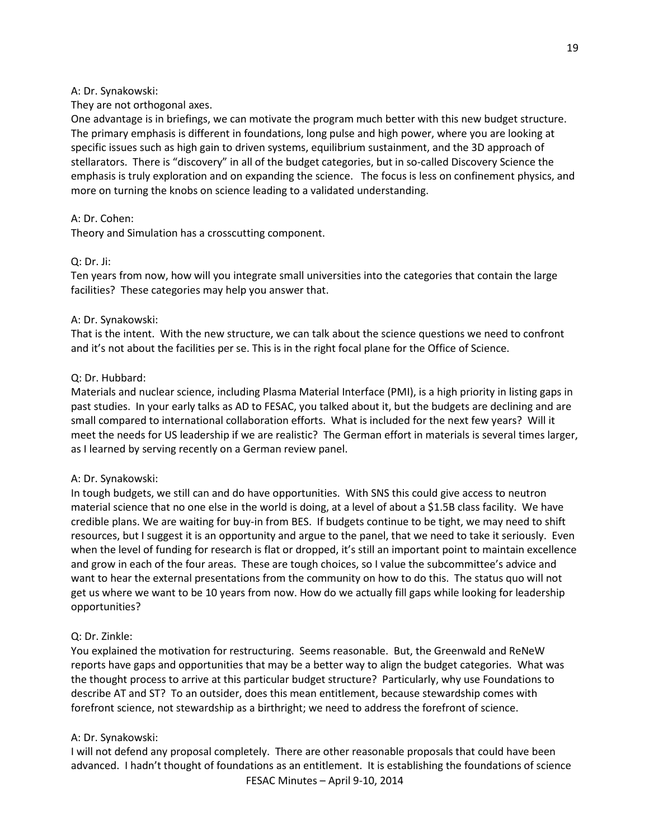#### A: Dr. Synakowski:

They are not orthogonal axes.

One advantage is in briefings, we can motivate the program much better with this new budget structure. The primary emphasis is different in foundations, long pulse and high power, where you are looking at specific issues such as high gain to driven systems, equilibrium sustainment, and the 3D approach of stellarators. There is "discovery" in all of the budget categories, but in so-called Discovery Science the emphasis is truly exploration and on expanding the science. The focus is less on confinement physics, and more on turning the knobs on science leading to a validated understanding.

#### A: Dr. Cohen:

Theory and Simulation has a crosscutting component.

### Q: Dr. Ji:

Ten years from now, how will you integrate small universities into the categories that contain the large facilities? These categories may help you answer that.

#### A: Dr. Synakowski:

That is the intent. With the new structure, we can talk about the science questions we need to confront and it's not about the facilities per se. This is in the right focal plane for the Office of Science.

#### Q: Dr. Hubbard:

Materials and nuclear science, including Plasma Material Interface (PMI), is a high priority in listing gaps in past studies. In your early talks as AD to FESAC, you talked about it, but the budgets are declining and are small compared to international collaboration efforts. What is included for the next few years? Will it meet the needs for US leadership if we are realistic? The German effort in materials is several times larger, as I learned by serving recently on a German review panel.

### A: Dr. Synakowski:

In tough budgets, we still can and do have opportunities. With SNS this could give access to neutron material science that no one else in the world is doing, at a level of about a \$1.5B class facility. We have credible plans. We are waiting for buy-in from BES. If budgets continue to be tight, we may need to shift resources, but I suggest it is an opportunity and argue to the panel, that we need to take it seriously. Even when the level of funding for research is flat or dropped, it's still an important point to maintain excellence and grow in each of the four areas. These are tough choices, so I value the subcommittee's advice and want to hear the external presentations from the community on how to do this. The status quo will not get us where we want to be 10 years from now. How do we actually fill gaps while looking for leadership opportunities?

### Q: Dr. Zinkle:

You explained the motivation for restructuring. Seems reasonable. But, the Greenwald and ReNeW reports have gaps and opportunities that may be a better way to align the budget categories. What was the thought process to arrive at this particular budget structure? Particularly, why use Foundations to describe AT and ST? To an outsider, does this mean entitlement, because stewardship comes with forefront science, not stewardship as a birthright; we need to address the forefront of science.

### A: Dr. Synakowski:

FESAC Minutes – April 9-10, 2014 I will not defend any proposal completely. There are other reasonable proposals that could have been advanced. I hadn't thought of foundations as an entitlement. It is establishing the foundations of science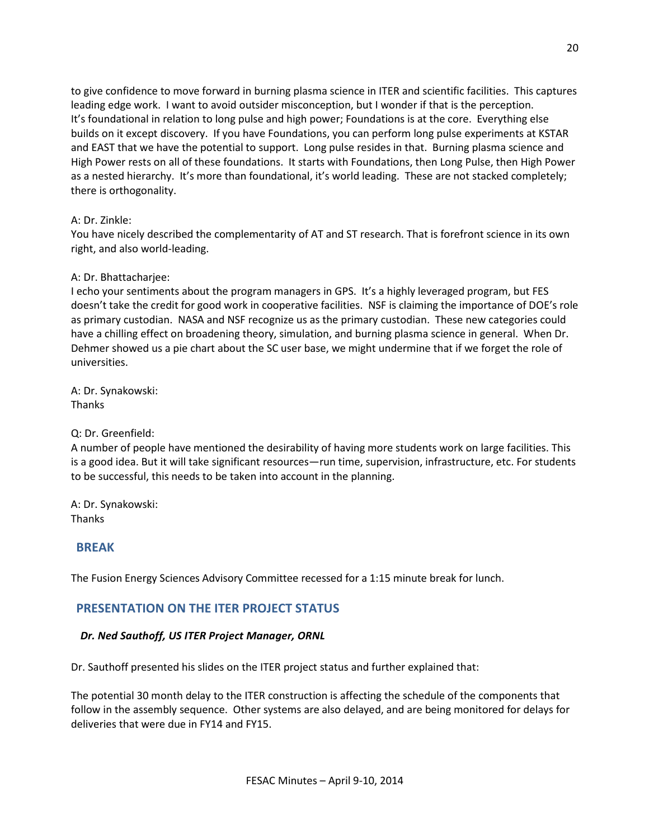to give confidence to move forward in burning plasma science in ITER and scientific facilities. This captures leading edge work. I want to avoid outsider misconception, but I wonder if that is the perception. It's foundational in relation to long pulse and high power; Foundations is at the core. Everything else builds on it except discovery. If you have Foundations, you can perform long pulse experiments at KSTAR and EAST that we have the potential to support. Long pulse resides in that. Burning plasma science and High Power rests on all of these foundations. It starts with Foundations, then Long Pulse, then High Power as a nested hierarchy. It's more than foundational, it's world leading. These are not stacked completely; there is orthogonality.

### A: Dr. Zinkle:

You have nicely described the complementarity of AT and ST research. That is forefront science in its own right, and also world-leading.

### A: Dr. Bhattacharjee:

I echo your sentiments about the program managers in GPS. It's a highly leveraged program, but FES doesn't take the credit for good work in cooperative facilities. NSF is claiming the importance of DOE's role as primary custodian. NASA and NSF recognize us as the primary custodian. These new categories could have a chilling effect on broadening theory, simulation, and burning plasma science in general. When Dr. Dehmer showed us a pie chart about the SC user base, we might undermine that if we forget the role of universities.

A: Dr. Synakowski: Thanks

Q: Dr. Greenfield:

A number of people have mentioned the desirability of having more students work on large facilities. This is a good idea. But it will take significant resources—run time, supervision, infrastructure, etc. For students to be successful, this needs to be taken into account in the planning.

A: Dr. Synakowski: Thanks

## **BREAK**

The Fusion Energy Sciences Advisory Committee recessed for a 1:15 minute break for lunch.

# **PRESENTATION ON THE ITER PROJECT STATUS**

### *Dr. Ned Sauthoff, US ITER Project Manager, ORNL*

Dr. Sauthoff presented his slides on the ITER project status and further explained that:

The potential 30 month delay to the ITER construction is affecting the schedule of the components that follow in the assembly sequence. Other systems are also delayed, and are being monitored for delays for deliveries that were due in FY14 and FY15.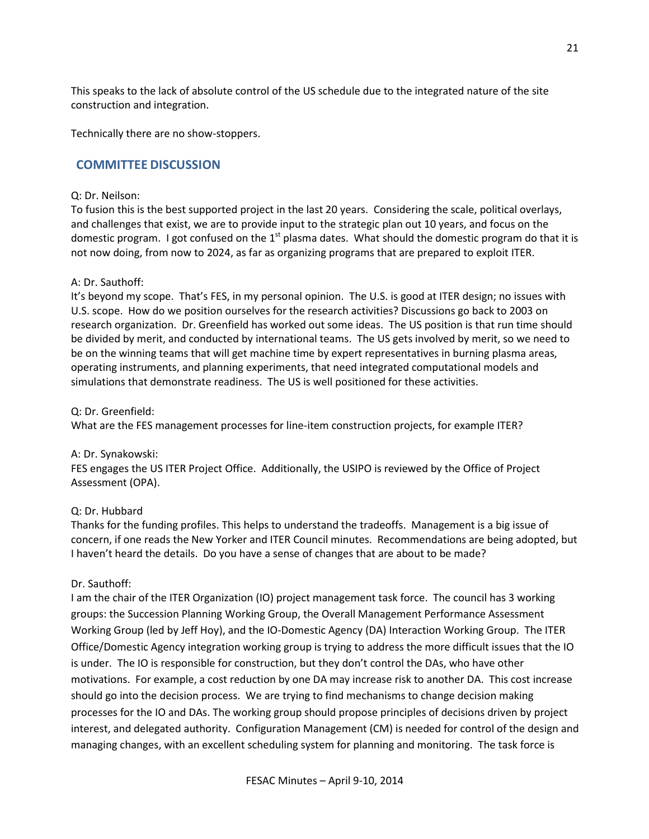This speaks to the lack of absolute control of the US schedule due to the integrated nature of the site construction and integration.

Technically there are no show-stoppers.

### **COMMITTEE DISCUSSION**

#### Q: Dr. Neilson:

To fusion this is the best supported project in the last 20 years. Considering the scale, political overlays, and challenges that exist, we are to provide input to the strategic plan out 10 years, and focus on the domestic program. I got confused on the  $1<sup>st</sup>$  plasma dates. What should the domestic program do that it is not now doing, from now to 2024, as far as organizing programs that are prepared to exploit ITER.

#### A: Dr. Sauthoff:

It's beyond my scope. That's FES, in my personal opinion. The U.S. is good at ITER design; no issues with U.S. scope. How do we position ourselves for the research activities? Discussions go back to 2003 on research organization. Dr. Greenfield has worked out some ideas. The US position is that run time should be divided by merit, and conducted by international teams. The US gets involved by merit, so we need to be on the winning teams that will get machine time by expert representatives in burning plasma areas, operating instruments, and planning experiments, that need integrated computational models and simulations that demonstrate readiness. The US is well positioned for these activities.

#### Q: Dr. Greenfield:

What are the FES management processes for line-item construction projects, for example ITER?

### A: Dr. Synakowski:

FES engages the US ITER Project Office. Additionally, the USIPO is reviewed by the Office of Project Assessment (OPA).

#### Q: Dr. Hubbard

Thanks for the funding profiles. This helps to understand the tradeoffs. Management is a big issue of concern, if one reads the New Yorker and ITER Council minutes. Recommendations are being adopted, but I haven't heard the details. Do you have a sense of changes that are about to be made?

#### Dr. Sauthoff:

I am the chair of the ITER Organization (IO) project management task force. The council has 3 working groups: the Succession Planning Working Group, the Overall Management Performance Assessment Working Group (led by Jeff Hoy), and the IO-Domestic Agency (DA) Interaction Working Group. The ITER Office/Domestic Agency integration working group is trying to address the more difficult issues that the IO is under. The IO is responsible for construction, but they don't control the DAs, who have other motivations. For example, a cost reduction by one DA may increase risk to another DA. This cost increase should go into the decision process. We are trying to find mechanisms to change decision making processes for the IO and DAs. The working group should propose principles of decisions driven by project interest, and delegated authority. Configuration Management (CM) is needed for control of the design and managing changes, with an excellent scheduling system for planning and monitoring. The task force is

21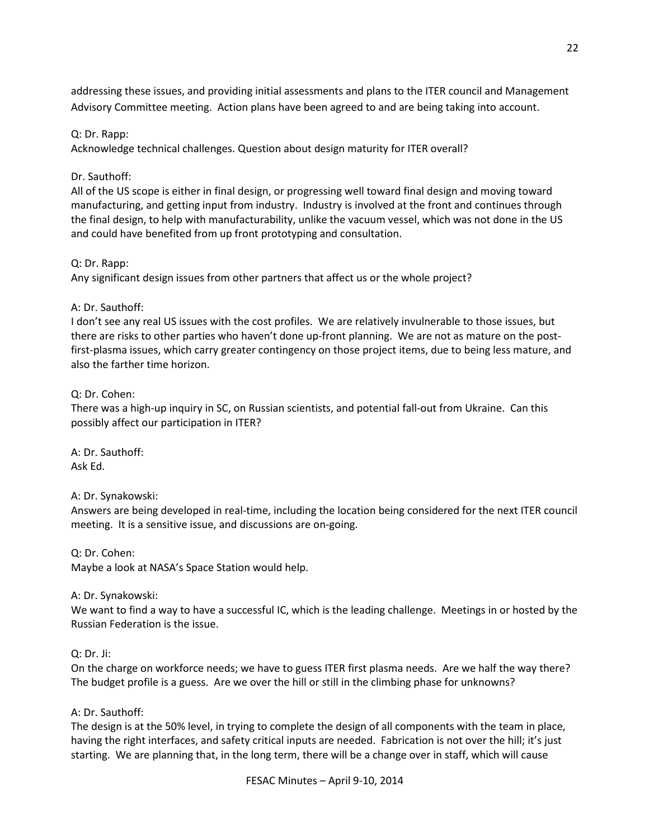addressing these issues, and providing initial assessments and plans to the ITER council and Management Advisory Committee meeting. Action plans have been agreed to and are being taking into account.

### Q: Dr. Rapp:

Acknowledge technical challenges. Question about design maturity for ITER overall?

### Dr. Sauthoff:

All of the US scope is either in final design, or progressing well toward final design and moving toward manufacturing, and getting input from industry. Industry is involved at the front and continues through the final design, to help with manufacturability, unlike the vacuum vessel, which was not done in the US and could have benefited from up front prototyping and consultation.

### Q: Dr. Rapp:

Any significant design issues from other partners that affect us or the whole project?

### A: Dr. Sauthoff:

I don't see any real US issues with the cost profiles. We are relatively invulnerable to those issues, but there are risks to other parties who haven't done up-front planning. We are not as mature on the postfirst-plasma issues, which carry greater contingency on those project items, due to being less mature, and also the farther time horizon.

### Q: Dr. Cohen:

There was a high-up inquiry in SC, on Russian scientists, and potential fall-out from Ukraine. Can this possibly affect our participation in ITER?

A: Dr. Sauthoff: Ask Ed.

A: Dr. Synakowski:

Answers are being developed in real-time, including the location being considered for the next ITER council meeting. It is a sensitive issue, and discussions are on-going.

Q: Dr. Cohen: Maybe a look at NASA's Space Station would help.

A: Dr. Synakowski:

We want to find a way to have a successful IC, which is the leading challenge. Meetings in or hosted by the Russian Federation is the issue.

### Q: Dr. Ji:

On the charge on workforce needs; we have to guess ITER first plasma needs. Are we half the way there? The budget profile is a guess. Are we over the hill or still in the climbing phase for unknowns?

## A: Dr. Sauthoff:

The design is at the 50% level, in trying to complete the design of all components with the team in place, having the right interfaces, and safety critical inputs are needed. Fabrication is not over the hill; it's just starting. We are planning that, in the long term, there will be a change over in staff, which will cause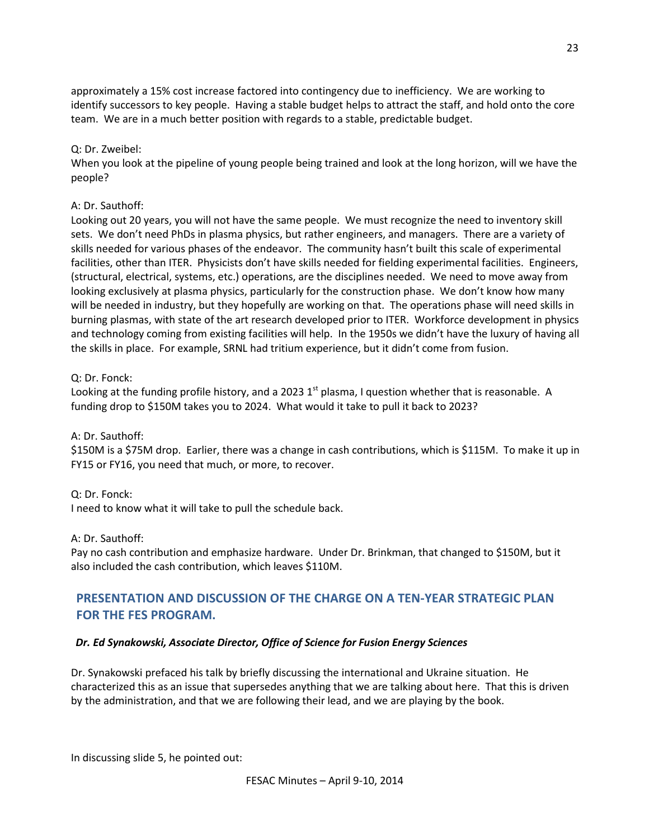approximately a 15% cost increase factored into contingency due to inefficiency. We are working to identify successors to key people. Having a stable budget helps to attract the staff, and hold onto the core team. We are in a much better position with regards to a stable, predictable budget.

### Q: Dr. Zweibel:

When you look at the pipeline of young people being trained and look at the long horizon, will we have the people?

### A: Dr. Sauthoff:

Looking out 20 years, you will not have the same people. We must recognize the need to inventory skill sets. We don't need PhDs in plasma physics, but rather engineers, and managers. There are a variety of skills needed for various phases of the endeavor. The community hasn't built this scale of experimental facilities, other than ITER. Physicists don't have skills needed for fielding experimental facilities. Engineers, (structural, electrical, systems, etc.) operations, are the disciplines needed. We need to move away from looking exclusively at plasma physics, particularly for the construction phase. We don't know how many will be needed in industry, but they hopefully are working on that. The operations phase will need skills in burning plasmas, with state of the art research developed prior to ITER. Workforce development in physics and technology coming from existing facilities will help. In the 1950s we didn't have the luxury of having all the skills in place. For example, SRNL had tritium experience, but it didn't come from fusion.

### Q: Dr. Fonck:

Looking at the funding profile history, and a 2023  $1<sup>st</sup>$  plasma, I question whether that is reasonable. A funding drop to \$150M takes you to 2024. What would it take to pull it back to 2023?

A: Dr. Sauthoff:

\$150M is a \$75M drop. Earlier, there was a change in cash contributions, which is \$115M. To make it up in FY15 or FY16, you need that much, or more, to recover.

### Q: Dr. Fonck:

I need to know what it will take to pull the schedule back.

A: Dr. Sauthoff:

Pay no cash contribution and emphasize hardware. Under Dr. Brinkman, that changed to \$150M, but it also included the cash contribution, which leaves \$110M.

# **PRESENTATION AND DISCUSSION OF THE CHARGE ON A TEN-YEAR STRATEGIC PLAN FOR THE FES PROGRAM.**

## *Dr. Ed Synakowski, Associate Director, Office of Science for Fusion Energy Sciences*

Dr. Synakowski prefaced his talk by briefly discussing the international and Ukraine situation. He characterized this as an issue that supersedes anything that we are talking about here. That this is driven by the administration, and that we are following their lead, and we are playing by the book.

In discussing slide 5, he pointed out: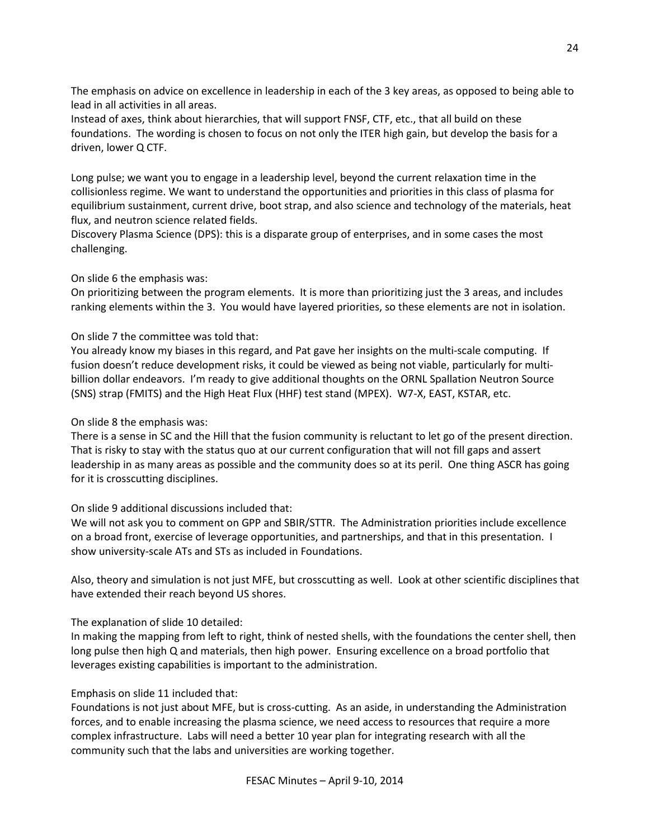The emphasis on advice on excellence in leadership in each of the 3 key areas, as opposed to being able to lead in all activities in all areas.

Instead of axes, think about hierarchies, that will support FNSF, CTF, etc., that all build on these foundations. The wording is chosen to focus on not only the ITER high gain, but develop the basis for a driven, lower Q CTF.

Long pulse; we want you to engage in a leadership level, beyond the current relaxation time in the collisionless regime. We want to understand the opportunities and priorities in this class of plasma for equilibrium sustainment, current drive, boot strap, and also science and technology of the materials, heat flux, and neutron science related fields.

Discovery Plasma Science (DPS): this is a disparate group of enterprises, and in some cases the most challenging.

### On slide 6 the emphasis was:

On prioritizing between the program elements. It is more than prioritizing just the 3 areas, and includes ranking elements within the 3. You would have layered priorities, so these elements are not in isolation.

### On slide 7 the committee was told that:

You already know my biases in this regard, and Pat gave her insights on the multi-scale computing. If fusion doesn't reduce development risks, it could be viewed as being not viable, particularly for multibillion dollar endeavors. I'm ready to give additional thoughts on the ORNL Spallation Neutron Source (SNS) strap (FMITS) and the High Heat Flux (HHF) test stand (MPEX). W7-X, EAST, KSTAR, etc.

On slide 8 the emphasis was:

There is a sense in SC and the Hill that the fusion community is reluctant to let go of the present direction. That is risky to stay with the status quo at our current configuration that will not fill gaps and assert leadership in as many areas as possible and the community does so at its peril. One thing ASCR has going for it is crosscutting disciplines.

## On slide 9 additional discussions included that:

We will not ask you to comment on GPP and SBIR/STTR. The Administration priorities include excellence on a broad front, exercise of leverage opportunities, and partnerships, and that in this presentation. I show university-scale ATs and STs as included in Foundations.

Also, theory and simulation is not just MFE, but crosscutting as well. Look at other scientific disciplines that have extended their reach beyond US shores.

## The explanation of slide 10 detailed:

In making the mapping from left to right, think of nested shells, with the foundations the center shell, then long pulse then high Q and materials, then high power. Ensuring excellence on a broad portfolio that leverages existing capabilities is important to the administration.

## Emphasis on slide 11 included that:

Foundations is not just about MFE, but is cross-cutting. As an aside, in understanding the Administration forces, and to enable increasing the plasma science, we need access to resources that require a more complex infrastructure. Labs will need a better 10 year plan for integrating research with all the community such that the labs and universities are working together.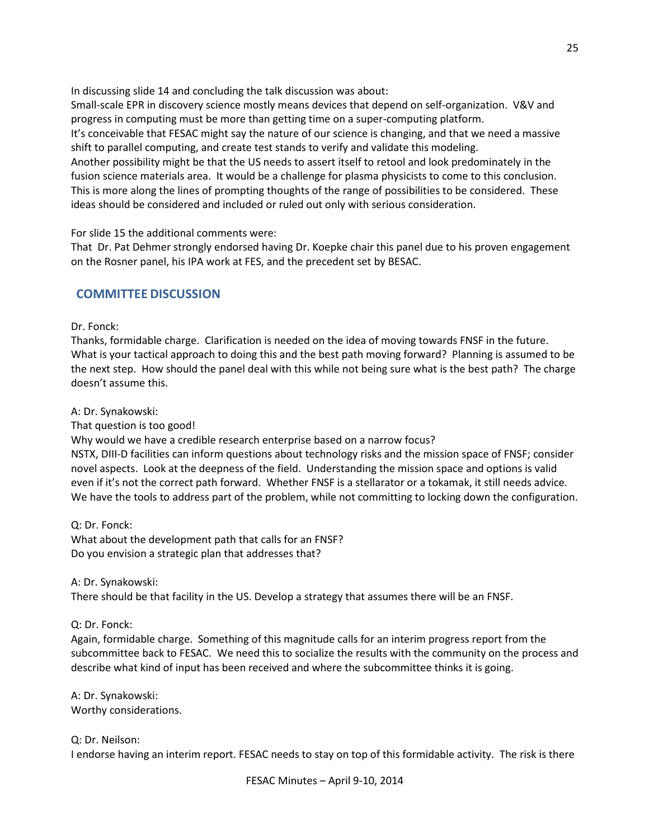In discussing slide 14 and concluding the talk discussion was about:

Small-scale EPR in discovery science mostly means devices that depend on self-organization. V&V and progress in computing must be more than getting time on a super-computing platform. It's conceivable that FESAC might say the nature of our science is changing, and that we need a massive shift to parallel computing, and create test stands to verify and validate this modeling. Another possibility might be that the US needs to assert itself to retool and look predominately in the fusion science materials area. It would be a challenge for plasma physicists to come to this conclusion. This is more along the lines of prompting thoughts of the range of possibilities to be considered. These

ideas should be considered and included or ruled out only with serious consideration.

For slide 15 the additional comments were:

That Dr. Pat Dehmer strongly endorsed having Dr. Koepke chair this panel due to his proven engagement on the Rosner panel, his IPA work at FES, and the precedent set by BESAC.

## **COMMITTEE DISCUSSION**

### Dr. Fonck:

Thanks, formidable charge. Clarification is needed on the idea of moving towards FNSF in the future. What is your tactical approach to doing this and the best path moving forward? Planning is assumed to be the next step. How should the panel deal with this while not being sure what is the best path? The charge doesn't assume this.

A: Dr. Synakowski:

That question is too good!

Why would we have a credible research enterprise based on a narrow focus?

NSTX, DIII-D facilities can inform questions about technology risks and the mission space of FNSF; consider novel aspects. Look at the deepness of the field. Understanding the mission space and options is valid even if it's not the correct path forward. Whether FNSF is a stellarator or a tokamak, it still needs advice. We have the tools to address part of the problem, while not committing to locking down the configuration.

Q: Dr. Fonck: What about the development path that calls for an FNSF? Do you envision a strategic plan that addresses that?

A: Dr. Synakowski:

There should be that facility in the US. Develop a strategy that assumes there will be an FNSF.

Q: Dr. Fonck:

Again, formidable charge. Something of this magnitude calls for an interim progress report from the subcommittee back to FESAC. We need this to socialize the results with the community on the process and describe what kind of input has been received and where the subcommittee thinks it is going.

A: Dr. Synakowski: Worthy considerations.

Q: Dr. Neilson: I endorse having an interim report. FESAC needs to stay on top of this formidable activity. The risk is there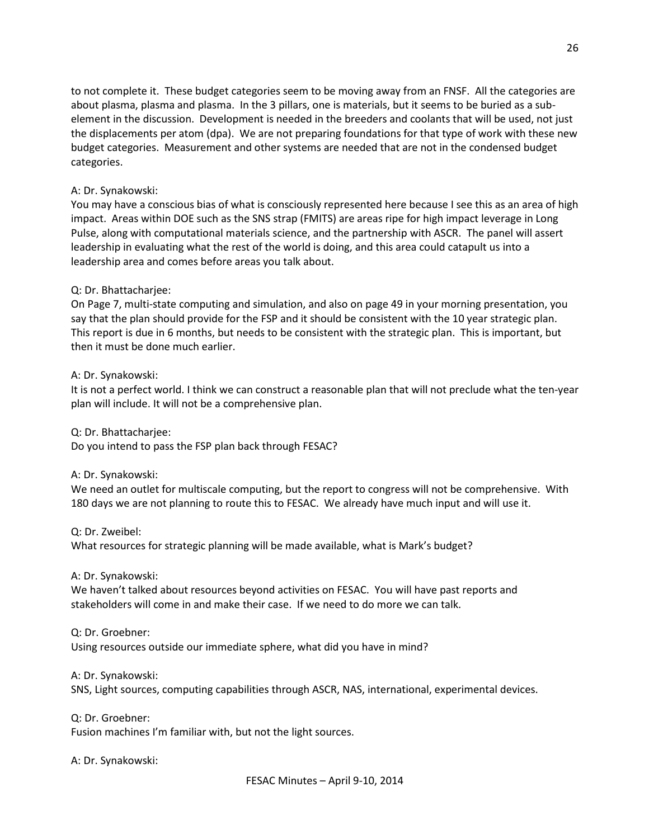to not complete it. These budget categories seem to be moving away from an FNSF. All the categories are about plasma, plasma and plasma. In the 3 pillars, one is materials, but it seems to be buried as a subelement in the discussion. Development is needed in the breeders and coolants that will be used, not just the displacements per atom (dpa). We are not preparing foundations for that type of work with these new budget categories. Measurement and other systems are needed that are not in the condensed budget categories.

### A: Dr. Synakowski:

You may have a conscious bias of what is consciously represented here because I see this as an area of high impact. Areas within DOE such as the SNS strap (FMITS) are areas ripe for high impact leverage in Long Pulse, along with computational materials science, and the partnership with ASCR. The panel will assert leadership in evaluating what the rest of the world is doing, and this area could catapult us into a leadership area and comes before areas you talk about.

### Q: Dr. Bhattacharjee:

On Page 7, multi-state computing and simulation, and also on page 49 in your morning presentation, you say that the plan should provide for the FSP and it should be consistent with the 10 year strategic plan. This report is due in 6 months, but needs to be consistent with the strategic plan. This is important, but then it must be done much earlier.

A: Dr. Synakowski:

It is not a perfect world. I think we can construct a reasonable plan that will not preclude what the ten-year plan will include. It will not be a comprehensive plan.

Q: Dr. Bhattacharjee:

Do you intend to pass the FSP plan back through FESAC?

A: Dr. Synakowski:

We need an outlet for multiscale computing, but the report to congress will not be comprehensive. With 180 days we are not planning to route this to FESAC. We already have much input and will use it.

Q: Dr. Zweibel:

What resources for strategic planning will be made available, what is Mark's budget?

A: Dr. Synakowski:

We haven't talked about resources beyond activities on FESAC. You will have past reports and stakeholders will come in and make their case. If we need to do more we can talk.

Q: Dr. Groebner:

Using resources outside our immediate sphere, what did you have in mind?

A: Dr. Synakowski:

SNS, Light sources, computing capabilities through ASCR, NAS, international, experimental devices.

Q: Dr. Groebner: Fusion machines I'm familiar with, but not the light sources.

A: Dr. Synakowski: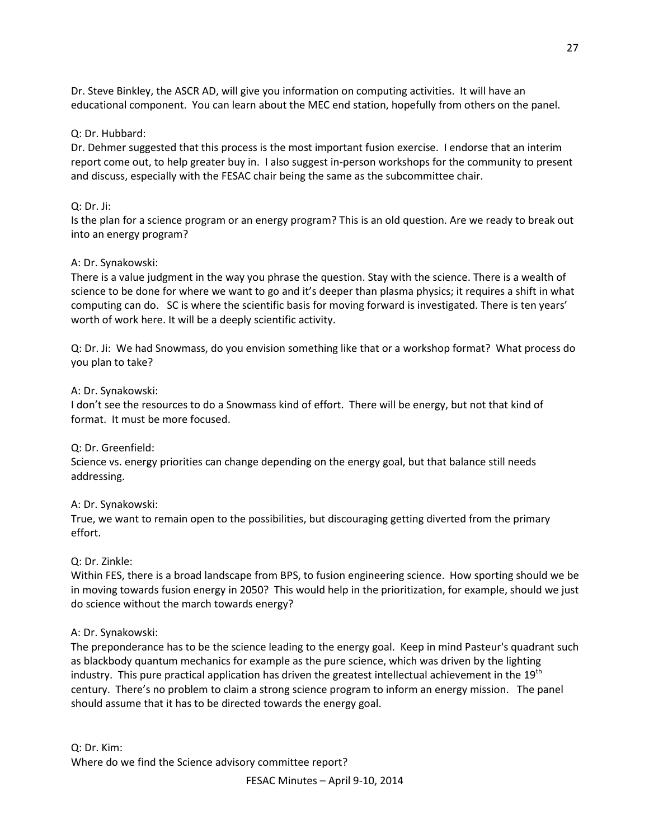Dr. Steve Binkley, the ASCR AD, will give you information on computing activities. It will have an educational component. You can learn about the MEC end station, hopefully from others on the panel.

### Q: Dr. Hubbard:

Dr. Dehmer suggested that this process is the most important fusion exercise. I endorse that an interim report come out, to help greater buy in. I also suggest in-person workshops for the community to present and discuss, especially with the FESAC chair being the same as the subcommittee chair.

### Q: Dr. Ji:

Is the plan for a science program or an energy program? This is an old question. Are we ready to break out into an energy program?

### A: Dr. Synakowski:

There is a value judgment in the way you phrase the question. Stay with the science. There is a wealth of science to be done for where we want to go and it's deeper than plasma physics; it requires a shift in what computing can do. SC is where the scientific basis for moving forward is investigated. There is ten years' worth of work here. It will be a deeply scientific activity.

Q: Dr. Ji: We had Snowmass, do you envision something like that or a workshop format? What process do you plan to take?

### A: Dr. Synakowski:

I don't see the resources to do a Snowmass kind of effort. There will be energy, but not that kind of format. It must be more focused.

### Q: Dr. Greenfield:

Science vs. energy priorities can change depending on the energy goal, but that balance still needs addressing.

### A: Dr. Synakowski:

True, we want to remain open to the possibilities, but discouraging getting diverted from the primary effort.

### Q: Dr. Zinkle:

Within FES, there is a broad landscape from BPS, to fusion engineering science. How sporting should we be in moving towards fusion energy in 2050? This would help in the prioritization, for example, should we just do science without the march towards energy?

### A: Dr. Synakowski:

The preponderance has to be the science leading to the energy goal. Keep in mind Pasteur's quadrant such as blackbody quantum mechanics for example as the pure science, which was driven by the lighting industry. This pure practical application has driven the greatest intellectual achievement in the 19<sup>th</sup> century. There's no problem to claim a strong science program to inform an energy mission. The panel should assume that it has to be directed towards the energy goal.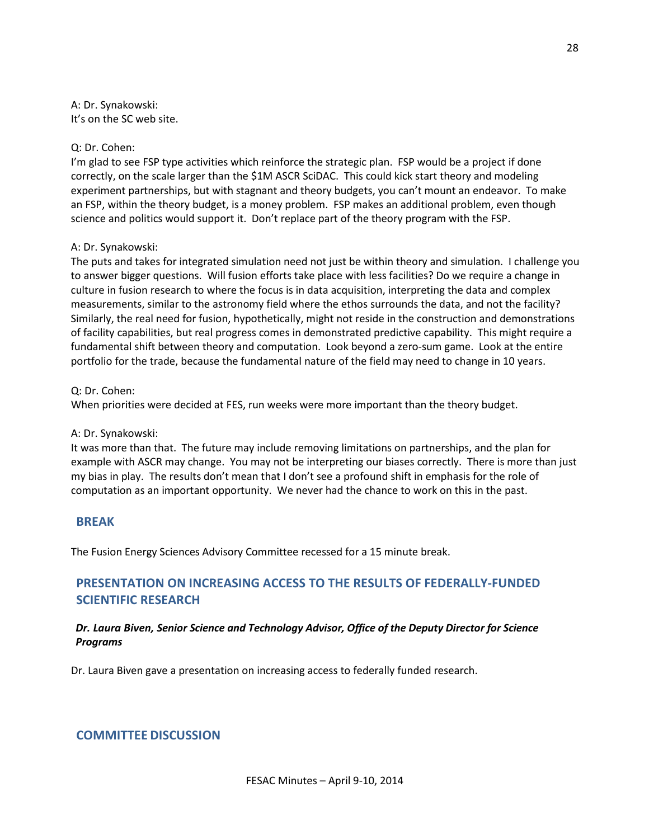A: Dr. Synakowski: It's on the SC web site.

#### Q: Dr. Cohen:

I'm glad to see FSP type activities which reinforce the strategic plan. FSP would be a project if done correctly, on the scale larger than the \$1M ASCR SciDAC. This could kick start theory and modeling experiment partnerships, but with stagnant and theory budgets, you can't mount an endeavor. To make an FSP, within the theory budget, is a money problem. FSP makes an additional problem, even though science and politics would support it. Don't replace part of the theory program with the FSP.

#### A: Dr. Synakowski:

The puts and takes for integrated simulation need not just be within theory and simulation. I challenge you to answer bigger questions. Will fusion efforts take place with less facilities? Do we require a change in culture in fusion research to where the focus is in data acquisition, interpreting the data and complex measurements, similar to the astronomy field where the ethos surrounds the data, and not the facility? Similarly, the real need for fusion, hypothetically, might not reside in the construction and demonstrations of facility capabilities, but real progress comes in demonstrated predictive capability. This might require a fundamental shift between theory and computation. Look beyond a zero-sum game. Look at the entire portfolio for the trade, because the fundamental nature of the field may need to change in 10 years.

Q: Dr. Cohen:

When priorities were decided at FES, run weeks were more important than the theory budget.

### A: Dr. Synakowski:

It was more than that. The future may include removing limitations on partnerships, and the plan for example with ASCR may change. You may not be interpreting our biases correctly. There is more than just my bias in play. The results don't mean that I don't see a profound shift in emphasis for the role of computation as an important opportunity. We never had the chance to work on this in the past.

### **BREAK**

The Fusion Energy Sciences Advisory Committee recessed for a 15 minute break.

# **PRESENTATION ON INCREASING ACCESS TO THE RESULTS OF FEDERALLY-FUNDED SCIENTIFIC RESEARCH**

## *Dr. Laura Biven, Senior Science and Technology Advisor, Office of the Deputy Director for Science Programs*

Dr. Laura Biven gave a presentation on increasing access to federally funded research.

# **COMMITTEE DISCUSSION**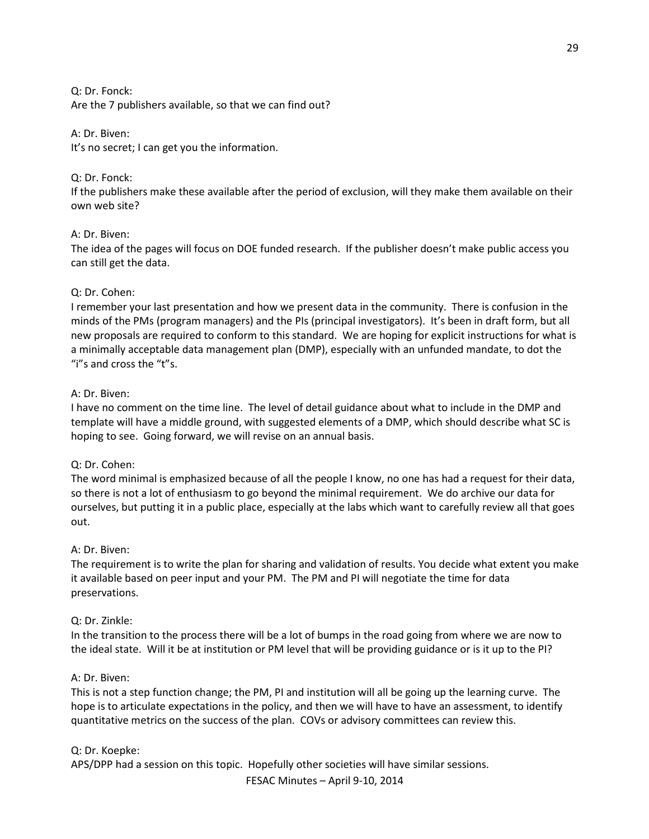Q: Dr. Fonck: Are the 7 publishers available, so that we can find out?

#### A: Dr. Biven:

It's no secret; I can get you the information.

#### Q: Dr. Fonck:

If the publishers make these available after the period of exclusion, will they make them available on their own web site?

#### A: Dr. Biven:

The idea of the pages will focus on DOE funded research. If the publisher doesn't make public access you can still get the data.

#### Q: Dr. Cohen:

I remember your last presentation and how we present data in the community. There is confusion in the minds of the PMs (program managers) and the PIs (principal investigators). It's been in draft form, but all new proposals are required to conform to this standard. We are hoping for explicit instructions for what is a minimally acceptable data management plan (DMP), especially with an unfunded mandate, to dot the "i"s and cross the "t"s.

#### A: Dr. Biven:

I have no comment on the time line. The level of detail guidance about what to include in the DMP and template will have a middle ground, with suggested elements of a DMP, which should describe what SC is hoping to see. Going forward, we will revise on an annual basis.

#### Q: Dr. Cohen:

The word minimal is emphasized because of all the people I know, no one has had a request for their data, so there is not a lot of enthusiasm to go beyond the minimal requirement. We do archive our data for ourselves, but putting it in a public place, especially at the labs which want to carefully review all that goes out.

### A: Dr. Biven:

The requirement is to write the plan for sharing and validation of results. You decide what extent you make it available based on peer input and your PM. The PM and PI will negotiate the time for data preservations.

### Q: Dr. Zinkle:

In the transition to the process there will be a lot of bumps in the road going from where we are now to the ideal state. Will it be at institution or PM level that will be providing guidance or is it up to the PI?

### A: Dr. Biven:

This is not a step function change; the PM, PI and institution will all be going up the learning curve. The hope is to articulate expectations in the policy, and then we will have to have an assessment, to identify quantitative metrics on the success of the plan. COVs or advisory committees can review this.

### Q: Dr. Koepke:

APS/DPP had a session on this topic. Hopefully other societies will have similar sessions.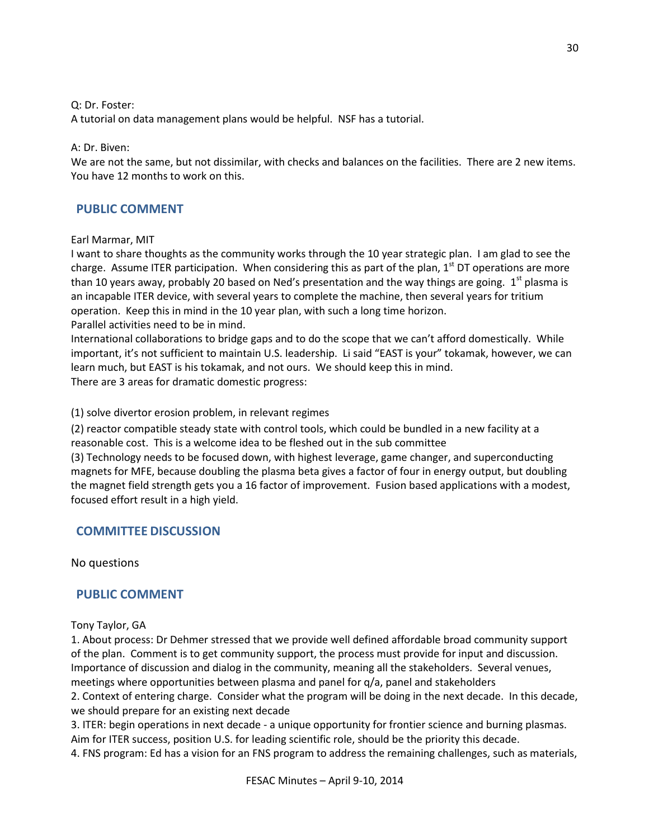Q: Dr. Foster:

A tutorial on data management plans would be helpful. NSF has a tutorial.

### A: Dr. Biven:

We are not the same, but not dissimilar, with checks and balances on the facilities. There are 2 new items. You have 12 months to work on this.

## **PUBLIC COMMENT**

### Earl Marmar, MIT

I want to share thoughts as the community works through the 10 year strategic plan. I am glad to see the charge. Assume ITER participation. When considering this as part of the plan,  $1<sup>st</sup>$  DT operations are more than 10 years away, probably 20 based on Ned's presentation and the way things are going.  $1^{st}$  plasma is an incapable ITER device, with several years to complete the machine, then several years for tritium operation. Keep this in mind in the 10 year plan, with such a long time horizon.

Parallel activities need to be in mind.

International collaborations to bridge gaps and to do the scope that we can't afford domestically. While important, it's not sufficient to maintain U.S. leadership. Li said "EAST is your" tokamak, however, we can learn much, but EAST is his tokamak, and not ours. We should keep this in mind. There are 3 areas for dramatic domestic progress:

(1) solve divertor erosion problem, in relevant regimes

(2) reactor compatible steady state with control tools, which could be bundled in a new facility at a reasonable cost. This is a welcome idea to be fleshed out in the sub committee

(3) Technology needs to be focused down, with highest leverage, game changer, and superconducting magnets for MFE, because doubling the plasma beta gives a factor of four in energy output, but doubling the magnet field strength gets you a 16 factor of improvement. Fusion based applications with a modest, focused effort result in a high yield.

## **COMMITTEE DISCUSSION**

No questions

## **PUBLIC COMMENT**

### Tony Taylor, GA

1. About process: Dr Dehmer stressed that we provide well defined affordable broad community support of the plan. Comment is to get community support, the process must provide for input and discussion. Importance of discussion and dialog in the community, meaning all the stakeholders. Several venues, meetings where opportunities between plasma and panel for  $q/a$ , panel and stakeholders

2. Context of entering charge. Consider what the program will be doing in the next decade. In this decade, we should prepare for an existing next decade

3. ITER: begin operations in next decade - a unique opportunity for frontier science and burning plasmas. Aim for ITER success, position U.S. for leading scientific role, should be the priority this decade.

4. FNS program: Ed has a vision for an FNS program to address the remaining challenges, such as materials,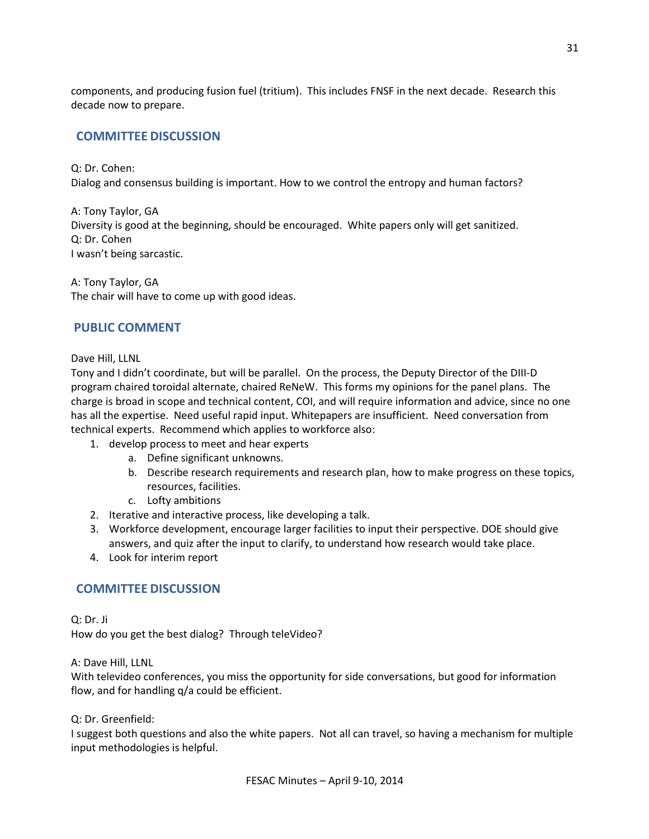components, and producing fusion fuel (tritium). This includes FNSF in the next decade. Research this decade now to prepare.

# **COMMITTEE DISCUSSION**

Q: Dr. Cohen: Dialog and consensus building is important. How to we control the entropy and human factors?

A: Tony Taylor, GA Diversity is good at the beginning, should be encouraged. White papers only will get sanitized. Q: Dr. Cohen I wasn't being sarcastic.

A: Tony Taylor, GA The chair will have to come up with good ideas.

## **PUBLIC COMMENT**

Dave Hill, LLNL

Tony and I didn't coordinate, but will be parallel. On the process, the Deputy Director of the DIII-D program chaired toroidal alternate, chaired ReNeW. This forms my opinions for the panel plans. The charge is broad in scope and technical content, COI, and will require information and advice, since no one has all the expertise. Need useful rapid input. Whitepapers are insufficient. Need conversation from technical experts. Recommend which applies to workforce also:

- 1. develop process to meet and hear experts
	- a. Define significant unknowns.
	- b. Describe research requirements and research plan, how to make progress on these topics, resources, facilities.
	- c. Lofty ambitions
- 2. Iterative and interactive process, like developing a talk.
- 3. Workforce development, encourage larger facilities to input their perspective. DOE should give answers, and quiz after the input to clarify, to understand how research would take place.
- 4. Look for interim report

# **COMMITTEE DISCUSSION**

Q: Dr. Ji How do you get the best dialog? Through teleVideo?

A: Dave Hill, LLNL

With televideo conferences, you miss the opportunity for side conversations, but good for information flow, and for handling q/a could be efficient.

Q: Dr. Greenfield:

I suggest both questions and also the white papers. Not all can travel, so having a mechanism for multiple input methodologies is helpful.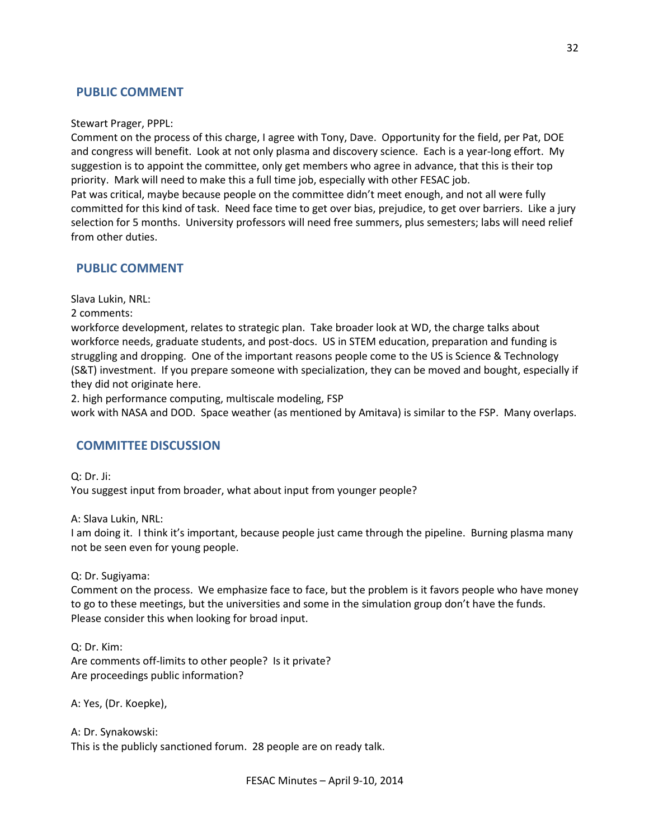## **PUBLIC COMMENT**

#### Stewart Prager, PPPL:

Comment on the process of this charge, I agree with Tony, Dave. Opportunity for the field, per Pat, DOE and congress will benefit. Look at not only plasma and discovery science. Each is a year-long effort. My suggestion is to appoint the committee, only get members who agree in advance, that this is their top priority. Mark will need to make this a full time job, especially with other FESAC job.

Pat was critical, maybe because people on the committee didn't meet enough, and not all were fully committed for this kind of task. Need face time to get over bias, prejudice, to get over barriers. Like a jury selection for 5 months. University professors will need free summers, plus semesters; labs will need relief from other duties.

## **PUBLIC COMMENT**

Slava Lukin, NRL:

2 comments:

workforce development, relates to strategic plan. Take broader look at WD, the charge talks about workforce needs, graduate students, and post-docs. US in STEM education, preparation and funding is struggling and dropping. One of the important reasons people come to the US is Science & Technology (S&T) investment. If you prepare someone with specialization, they can be moved and bought, especially if they did not originate here.

2. high performance computing, multiscale modeling, FSP

work with NASA and DOD. Space weather (as mentioned by Amitava) is similar to the FSP. Many overlaps.

## **COMMITTEE DISCUSSION**

Q: Dr. Ji: You suggest input from broader, what about input from younger people?

A: Slava Lukin, NRL:

I am doing it. I think it's important, because people just came through the pipeline. Burning plasma many not be seen even for young people.

#### Q: Dr. Sugiyama:

Comment on the process. We emphasize face to face, but the problem is it favors people who have money to go to these meetings, but the universities and some in the simulation group don't have the funds. Please consider this when looking for broad input.

Q: Dr. Kim:

Are comments off-limits to other people? Is it private? Are proceedings public information?

A: Yes, (Dr. Koepke),

A: Dr. Synakowski: This is the publicly sanctioned forum. 28 people are on ready talk.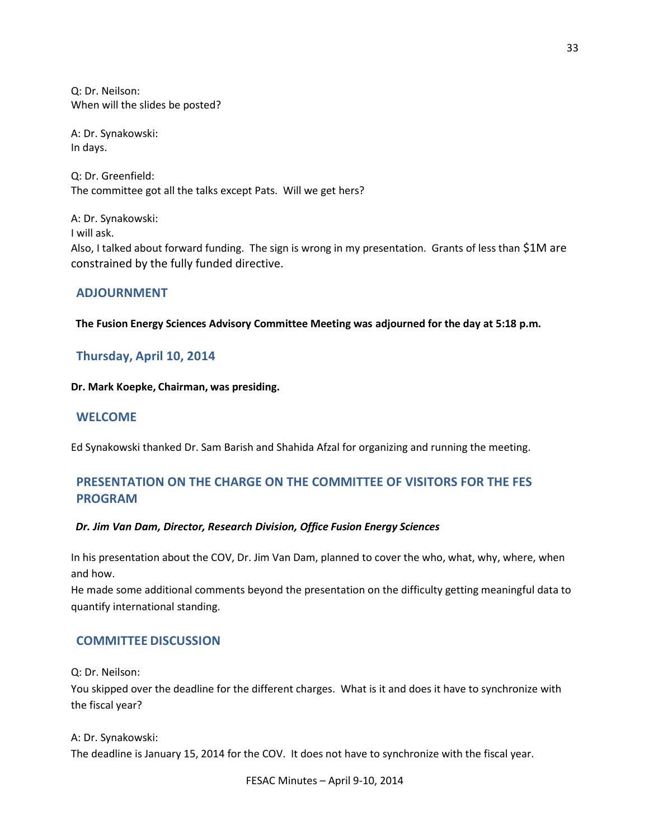Q: Dr. Neilson: When will the slides be posted?

A: Dr. Synakowski: In days.

Q: Dr. Greenfield: The committee got all the talks except Pats. Will we get hers?

A: Dr. Synakowski: I will ask. Also, I talked about forward funding. The sign is wrong in my presentation. Grants of less than \$1M are constrained by the fully funded directive.

## **ADJOURNMENT**

**The Fusion Energy Sciences Advisory Committee Meeting was adjourned for the day at 5:18 p.m.**

## **Thursday, April 10, 2014**

#### **Dr. Mark Koepke, Chairman, was presiding.**

## **WELCOME**

Ed Synakowski thanked Dr. Sam Barish and Shahida Afzal for organizing and running the meeting.

# **PRESENTATION ON THE CHARGE ON THE COMMITTEE OF VISITORS FOR THE FES PROGRAM**

### *Dr. Jim Van Dam, Director, Research Division, Office Fusion Energy Sciences*

In his presentation about the COV, Dr. Jim Van Dam, planned to cover the who, what, why, where, when and how.

He made some additional comments beyond the presentation on the difficulty getting meaningful data to quantify international standing.

## **COMMITTEE DISCUSSION**

Q: Dr. Neilson:

You skipped over the deadline for the different charges. What is it and does it have to synchronize with the fiscal year?

#### A: Dr. Synakowski:

The deadline is January 15, 2014 for the COV. It does not have to synchronize with the fiscal year.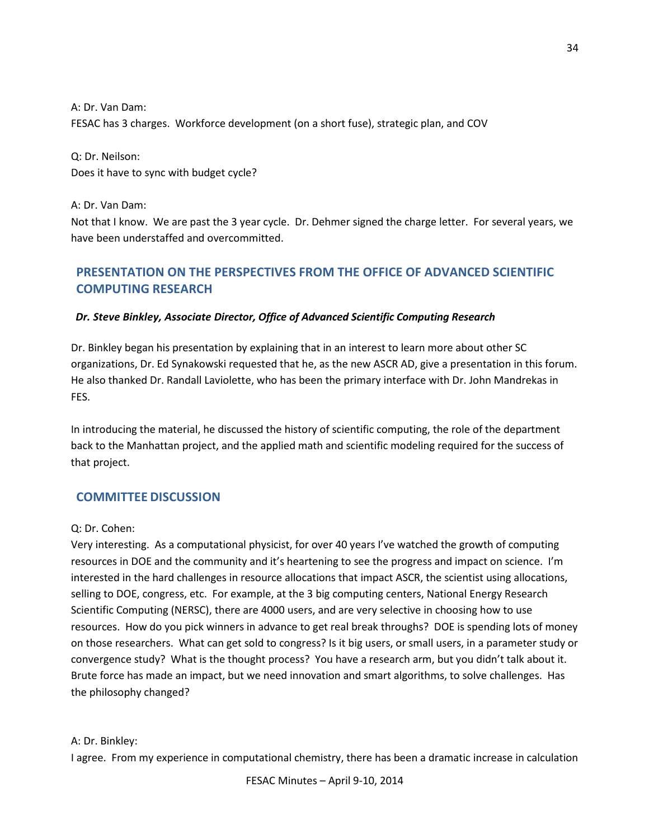A: Dr. Van Dam: FESAC has 3 charges. Workforce development (on a short fuse), strategic plan, and COV

Q: Dr. Neilson: Does it have to sync with budget cycle?

A: Dr. Van Dam: Not that I know. We are past the 3 year cycle. Dr. Dehmer signed the charge letter. For several years, we have been understaffed and overcommitted.

# **PRESENTATION ON THE PERSPECTIVES FROM THE OFFICE OF ADVANCED SCIENTIFIC COMPUTING RESEARCH**

## *Dr. Steve Binkley, Associate Director, Office of Advanced Scientific Computing Research*

Dr. Binkley began his presentation by explaining that in an interest to learn more about other SC organizations, Dr. Ed Synakowski requested that he, as the new ASCR AD, give a presentation in this forum. He also thanked Dr. Randall Laviolette, who has been the primary interface with Dr. John Mandrekas in FES.

In introducing the material, he discussed the history of scientific computing, the role of the department back to the Manhattan project, and the applied math and scientific modeling required for the success of that project.

### **COMMITTEE DISCUSSION**

### Q: Dr. Cohen:

Very interesting. As a computational physicist, for over 40 years I've watched the growth of computing resources in DOE and the community and it's heartening to see the progress and impact on science. I'm interested in the hard challenges in resource allocations that impact ASCR, the scientist using allocations, selling to DOE, congress, etc. For example, at the 3 big computing centers, National Energy Research Scientific Computing (NERSC), there are 4000 users, and are very selective in choosing how to use resources. How do you pick winners in advance to get real break throughs? DOE is spending lots of money on those researchers. What can get sold to congress? Is it big users, or small users, in a parameter study or convergence study? What is the thought process? You have a research arm, but you didn't talk about it. Brute force has made an impact, but we need innovation and smart algorithms, to solve challenges. Has the philosophy changed?

### A: Dr. Binkley:

I agree. From my experience in computational chemistry, there has been a dramatic increase in calculation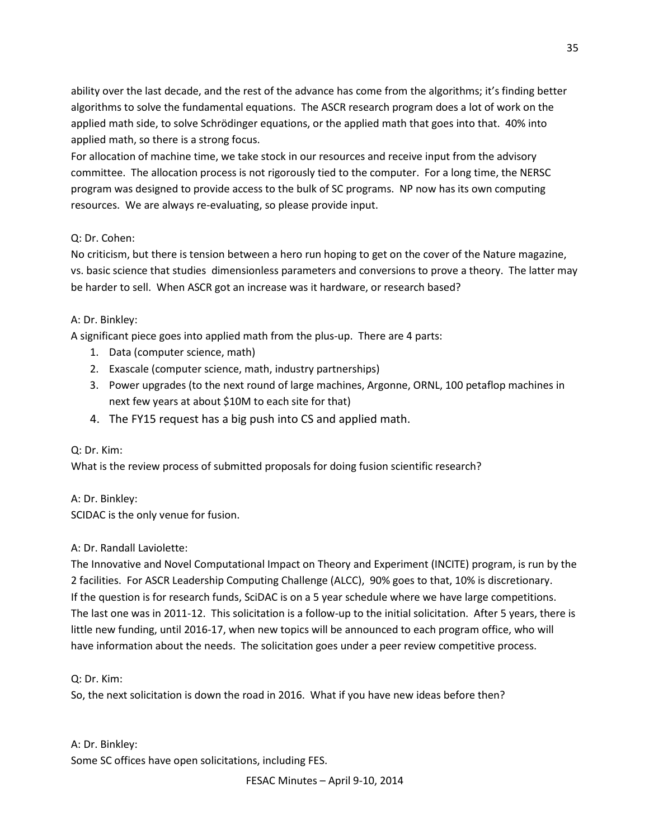ability over the last decade, and the rest of the advance has come from the algorithms; it's finding better algorithms to solve the fundamental equations. The ASCR research program does a lot of work on the applied math side, to solve Schrödinger equations, or the applied math that goes into that. 40% into applied math, so there is a strong focus.

For allocation of machine time, we take stock in our resources and receive input from the advisory committee. The allocation process is not rigorously tied to the computer. For a long time, the NERSC program was designed to provide access to the bulk of SC programs. NP now has its own computing resources. We are always re-evaluating, so please provide input.

## Q: Dr. Cohen:

No criticism, but there is tension between a hero run hoping to get on the cover of the Nature magazine, vs. basic science that studies dimensionless parameters and conversions to prove a theory. The latter may be harder to sell. When ASCR got an increase was it hardware, or research based?

### A: Dr. Binkley:

A significant piece goes into applied math from the plus-up. There are 4 parts:

- 1. Data (computer science, math)
- 2. Exascale (computer science, math, industry partnerships)
- 3. Power upgrades (to the next round of large machines, Argonne, ORNL, 100 petaflop machines in next few years at about \$10M to each site for that)
- 4. The FY15 request has a big push into CS and applied math.

### Q: Dr. Kim:

What is the review process of submitted proposals for doing fusion scientific research?

A: Dr. Binkley:

SCIDAC is the only venue for fusion.

## A: Dr. Randall Laviolette:

The Innovative and Novel Computational Impact on Theory and Experiment (INCITE) program, is run by the 2 facilities. For ASCR Leadership Computing Challenge (ALCC), 90% goes to that, 10% is discretionary. If the question is for research funds, SciDAC is on a 5 year schedule where we have large competitions. The last one was in 2011-12. This solicitation is a follow-up to the initial solicitation. After 5 years, there is little new funding, until 2016-17, when new topics will be announced to each program office, who will have information about the needs. The solicitation goes under a peer review competitive process.

## Q: Dr. Kim:

So, the next solicitation is down the road in 2016. What if you have new ideas before then?

A: Dr. Binkley: Some SC offices have open solicitations, including FES.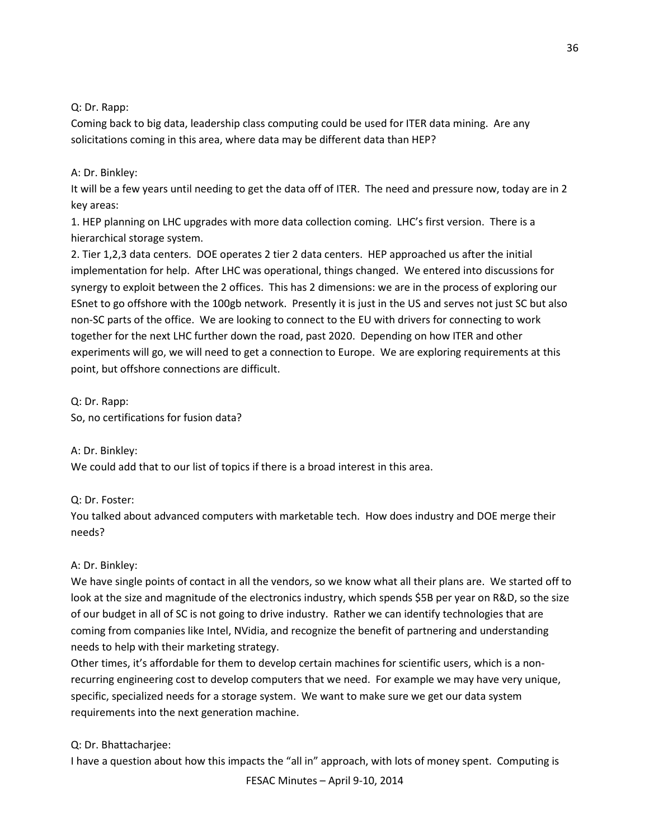Q: Dr. Rapp:

Coming back to big data, leadership class computing could be used for ITER data mining. Are any solicitations coming in this area, where data may be different data than HEP?

### A: Dr. Binkley:

It will be a few years until needing to get the data off of ITER. The need and pressure now, today are in 2 key areas:

1. HEP planning on LHC upgrades with more data collection coming. LHC's first version. There is a hierarchical storage system.

2. Tier 1,2,3 data centers. DOE operates 2 tier 2 data centers. HEP approached us after the initial implementation for help. After LHC was operational, things changed. We entered into discussions for synergy to exploit between the 2 offices. This has 2 dimensions: we are in the process of exploring our ESnet to go offshore with the 100gb network. Presently it is just in the US and serves not just SC but also non-SC parts of the office. We are looking to connect to the EU with drivers for connecting to work together for the next LHC further down the road, past 2020. Depending on how ITER and other experiments will go, we will need to get a connection to Europe. We are exploring requirements at this point, but offshore connections are difficult.

Q: Dr. Rapp: So, no certifications for fusion data?

A: Dr. Binkley: We could add that to our list of topics if there is a broad interest in this area.

## Q: Dr. Foster:

You talked about advanced computers with marketable tech. How does industry and DOE merge their needs?

## A: Dr. Binkley:

We have single points of contact in all the vendors, so we know what all their plans are. We started off to look at the size and magnitude of the electronics industry, which spends \$5B per year on R&D, so the size of our budget in all of SC is not going to drive industry. Rather we can identify technologies that are coming from companies like Intel, NVidia, and recognize the benefit of partnering and understanding needs to help with their marketing strategy.

Other times, it's affordable for them to develop certain machines for scientific users, which is a nonrecurring engineering cost to develop computers that we need. For example we may have very unique, specific, specialized needs for a storage system. We want to make sure we get our data system requirements into the next generation machine.

### Q: Dr. Bhattacharjee:

I have a question about how this impacts the "all in" approach, with lots of money spent. Computing is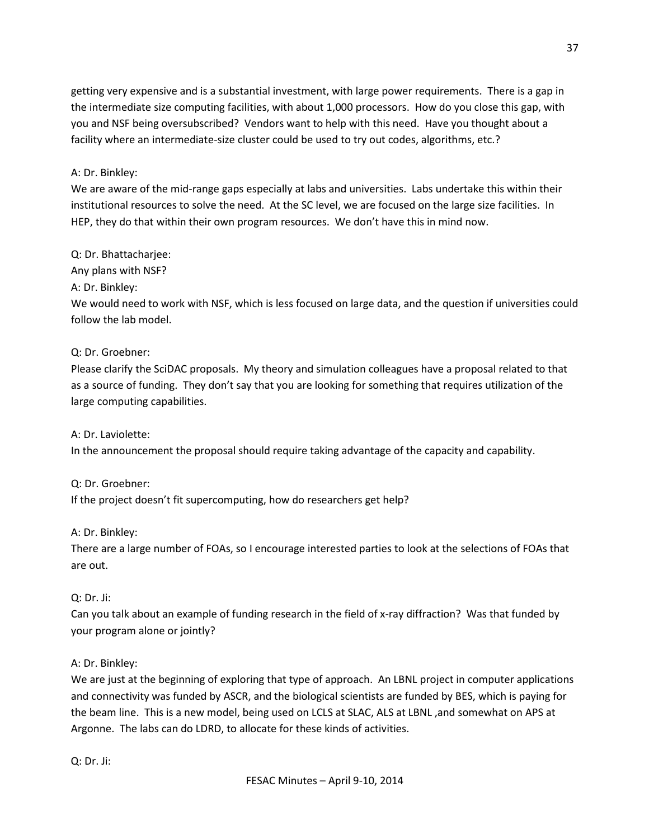getting very expensive and is a substantial investment, with large power requirements. There is a gap in the intermediate size computing facilities, with about 1,000 processors. How do you close this gap, with you and NSF being oversubscribed? Vendors want to help with this need. Have you thought about a facility where an intermediate-size cluster could be used to try out codes, algorithms, etc.?

### A: Dr. Binkley:

We are aware of the mid-range gaps especially at labs and universities. Labs undertake this within their institutional resources to solve the need. At the SC level, we are focused on the large size facilities. In HEP, they do that within their own program resources. We don't have this in mind now.

### Q: Dr. Bhattacharjee:

Any plans with NSF?

### A: Dr. Binkley:

We would need to work with NSF, which is less focused on large data, and the question if universities could follow the lab model.

### Q: Dr. Groebner:

Please clarify the SciDAC proposals. My theory and simulation colleagues have a proposal related to that as a source of funding. They don't say that you are looking for something that requires utilization of the large computing capabilities.

### A: Dr. Laviolette:

In the announcement the proposal should require taking advantage of the capacity and capability.

## Q: Dr. Groebner:

If the project doesn't fit supercomputing, how do researchers get help?

### A: Dr. Binkley:

There are a large number of FOAs, so I encourage interested parties to look at the selections of FOAs that are out.

## Q: Dr. Ji:

Can you talk about an example of funding research in the field of x-ray diffraction? Was that funded by your program alone or jointly?

## A: Dr. Binkley:

We are just at the beginning of exploring that type of approach. An LBNL project in computer applications and connectivity was funded by ASCR, and the biological scientists are funded by BES, which is paying for the beam line. This is a new model, being used on LCLS at SLAC, ALS at LBNL ,and somewhat on APS at Argonne. The labs can do LDRD, to allocate for these kinds of activities.

Q: Dr. Ji: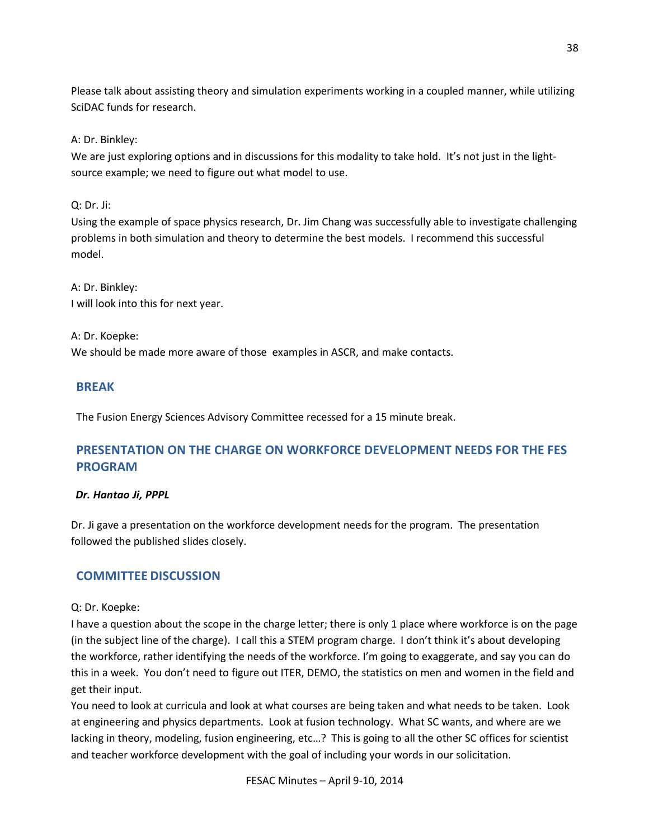Please talk about assisting theory and simulation experiments working in a coupled manner, while utilizing SciDAC funds for research.

A: Dr. Binkley:

We are just exploring options and in discussions for this modality to take hold. It's not just in the lightsource example; we need to figure out what model to use.

Q: Dr. Ji:

Using the example of space physics research, Dr. Jim Chang was successfully able to investigate challenging problems in both simulation and theory to determine the best models. I recommend this successful model.

A: Dr. Binkley: I will look into this for next year.

A: Dr. Koepke: We should be made more aware of those examples in ASCR, and make contacts.

# **BREAK**

The Fusion Energy Sciences Advisory Committee recessed for a 15 minute break.

# **PRESENTATION ON THE CHARGE ON WORKFORCE DEVELOPMENT NEEDS FOR THE FES PROGRAM**

# *Dr. Hantao Ji, PPPL*

Dr. Ji gave a presentation on the workforce development needs for the program. The presentation followed the published slides closely.

# **COMMITTEE DISCUSSION**

Q: Dr. Koepke:

I have a question about the scope in the charge letter; there is only 1 place where workforce is on the page (in the subject line of the charge). I call this a STEM program charge. I don't think it's about developing the workforce, rather identifying the needs of the workforce. I'm going to exaggerate, and say you can do this in a week. You don't need to figure out ITER, DEMO, the statistics on men and women in the field and get their input.

You need to look at curricula and look at what courses are being taken and what needs to be taken. Look at engineering and physics departments. Look at fusion technology. What SC wants, and where are we lacking in theory, modeling, fusion engineering, etc…? This is going to all the other SC offices for scientist and teacher workforce development with the goal of including your words in our solicitation.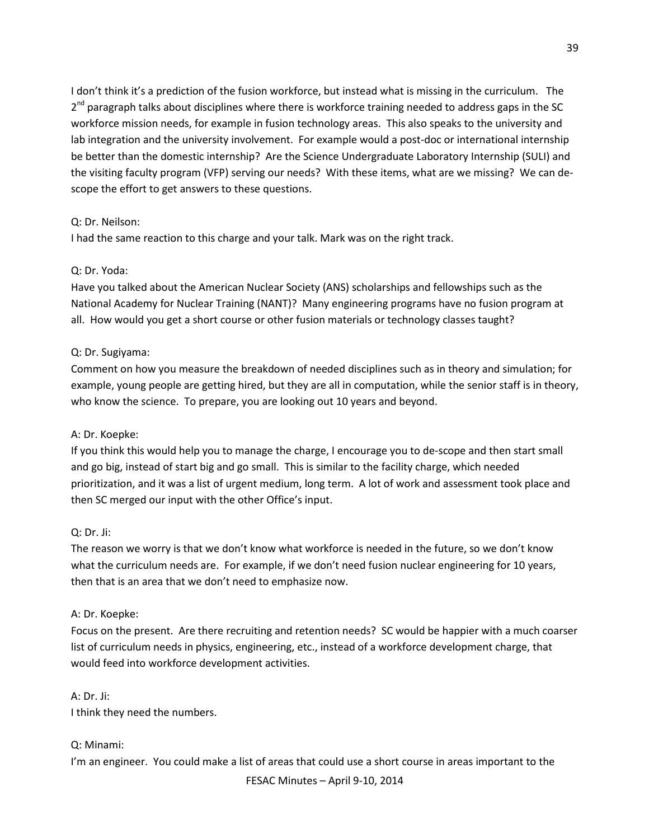I don't think it's a prediction of the fusion workforce, but instead what is missing in the curriculum. The  $2<sup>nd</sup>$  paragraph talks about disciplines where there is workforce training needed to address gaps in the SC workforce mission needs, for example in fusion technology areas. This also speaks to the university and lab integration and the university involvement. For example would a post-doc or international internship be better than the domestic internship? Are the Science Undergraduate Laboratory Internship (SULI) and the visiting faculty program (VFP) serving our needs? With these items, what are we missing? We can descope the effort to get answers to these questions.

### Q: Dr. Neilson:

I had the same reaction to this charge and your talk. Mark was on the right track.

### Q: Dr. Yoda:

Have you talked about the American Nuclear Society (ANS) scholarships and fellowships such as the National Academy for Nuclear Training (NANT)? Many engineering programs have no fusion program at all. How would you get a short course or other fusion materials or technology classes taught?

### Q: Dr. Sugiyama:

Comment on how you measure the breakdown of needed disciplines such as in theory and simulation; for example, young people are getting hired, but they are all in computation, while the senior staff is in theory, who know the science. To prepare, you are looking out 10 years and beyond.

## A: Dr. Koepke:

If you think this would help you to manage the charge, I encourage you to de-scope and then start small and go big, instead of start big and go small. This is similar to the facility charge, which needed prioritization, and it was a list of urgent medium, long term. A lot of work and assessment took place and then SC merged our input with the other Office's input.

## Q: Dr. Ji:

The reason we worry is that we don't know what workforce is needed in the future, so we don't know what the curriculum needs are. For example, if we don't need fusion nuclear engineering for 10 years, then that is an area that we don't need to emphasize now.

### A: Dr. Koepke:

Focus on the present. Are there recruiting and retention needs? SC would be happier with a much coarser list of curriculum needs in physics, engineering, etc., instead of a workforce development charge, that would feed into workforce development activities.

### A: Dr. Ji:

I think they need the numbers.

## Q: Minami:

I'm an engineer. You could make a list of areas that could use a short course in areas important to the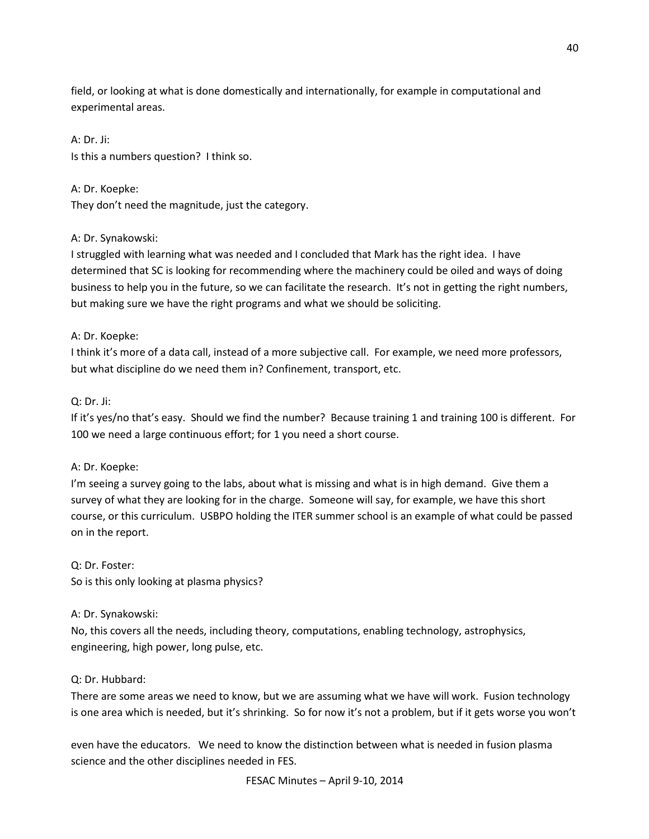field, or looking at what is done domestically and internationally, for example in computational and experimental areas.

A: Dr. Ji: Is this a numbers question? I think so.

A: Dr. Koepke: They don't need the magnitude, just the category.

### A: Dr. Synakowski:

I struggled with learning what was needed and I concluded that Mark has the right idea. I have determined that SC is looking for recommending where the machinery could be oiled and ways of doing business to help you in the future, so we can facilitate the research. It's not in getting the right numbers, but making sure we have the right programs and what we should be soliciting.

### A: Dr. Koepke:

I think it's more of a data call, instead of a more subjective call. For example, we need more professors, but what discipline do we need them in? Confinement, transport, etc.

### Q: Dr. Ji:

If it's yes/no that's easy. Should we find the number? Because training 1 and training 100 is different. For 100 we need a large continuous effort; for 1 you need a short course.

### A: Dr. Koepke:

I'm seeing a survey going to the labs, about what is missing and what is in high demand. Give them a survey of what they are looking for in the charge. Someone will say, for example, we have this short course, or this curriculum. USBPO holding the ITER summer school is an example of what could be passed on in the report.

Q: Dr. Foster: So is this only looking at plasma physics?

## A: Dr. Synakowski:

No, this covers all the needs, including theory, computations, enabling technology, astrophysics, engineering, high power, long pulse, etc.

### Q: Dr. Hubbard:

There are some areas we need to know, but we are assuming what we have will work. Fusion technology is one area which is needed, but it's shrinking. So for now it's not a problem, but if it gets worse you won't

even have the educators. We need to know the distinction between what is needed in fusion plasma science and the other disciplines needed in FES.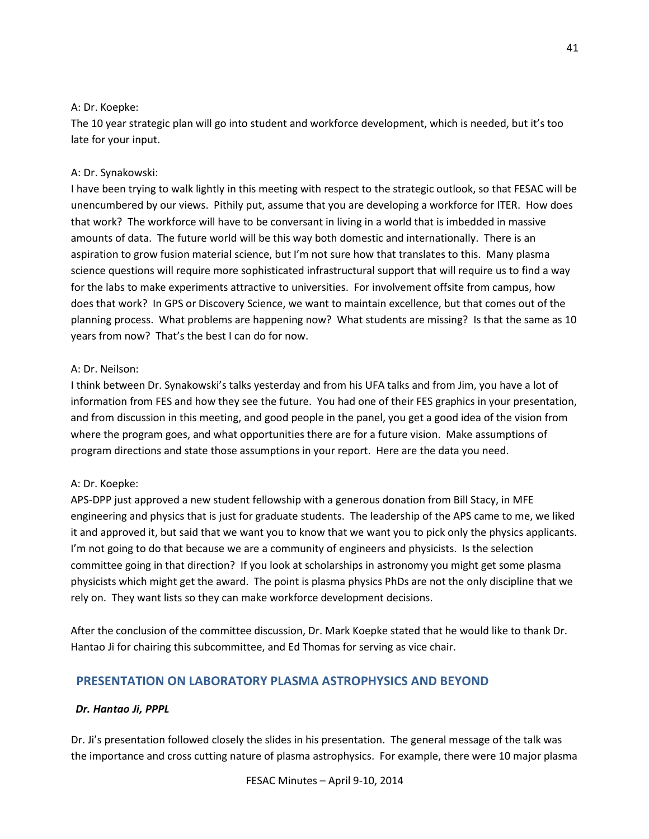### A: Dr. Koepke:

The 10 year strategic plan will go into student and workforce development, which is needed, but it's too late for your input.

## A: Dr. Synakowski:

I have been trying to walk lightly in this meeting with respect to the strategic outlook, so that FESAC will be unencumbered by our views. Pithily put, assume that you are developing a workforce for ITER. How does that work? The workforce will have to be conversant in living in a world that is imbedded in massive amounts of data. The future world will be this way both domestic and internationally. There is an aspiration to grow fusion material science, but I'm not sure how that translates to this. Many plasma science questions will require more sophisticated infrastructural support that will require us to find a way for the labs to make experiments attractive to universities. For involvement offsite from campus, how does that work? In GPS or Discovery Science, we want to maintain excellence, but that comes out of the planning process. What problems are happening now? What students are missing? Is that the same as 10 years from now? That's the best I can do for now.

### A: Dr. Neilson:

I think between Dr. Synakowski's talks yesterday and from his UFA talks and from Jim, you have a lot of information from FES and how they see the future. You had one of their FES graphics in your presentation, and from discussion in this meeting, and good people in the panel, you get a good idea of the vision from where the program goes, and what opportunities there are for a future vision. Make assumptions of program directions and state those assumptions in your report. Here are the data you need.

## A: Dr. Koepke:

APS-DPP just approved a new student fellowship with a generous donation from Bill Stacy, in MFE engineering and physics that is just for graduate students. The leadership of the APS came to me, we liked it and approved it, but said that we want you to know that we want you to pick only the physics applicants. I'm not going to do that because we are a community of engineers and physicists. Is the selection committee going in that direction? If you look at scholarships in astronomy you might get some plasma physicists which might get the award. The point is plasma physics PhDs are not the only discipline that we rely on. They want lists so they can make workforce development decisions.

After the conclusion of the committee discussion, Dr. Mark Koepke stated that he would like to thank Dr. Hantao Ji for chairing this subcommittee, and Ed Thomas for serving as vice chair.

# **PRESENTATION ON LABORATORY PLASMA ASTROPHYSICS AND BEYOND**

### *Dr. Hantao Ji, PPPL*

Dr. Ji's presentation followed closely the slides in his presentation. The general message of the talk was the importance and cross cutting nature of plasma astrophysics. For example, there were 10 major plasma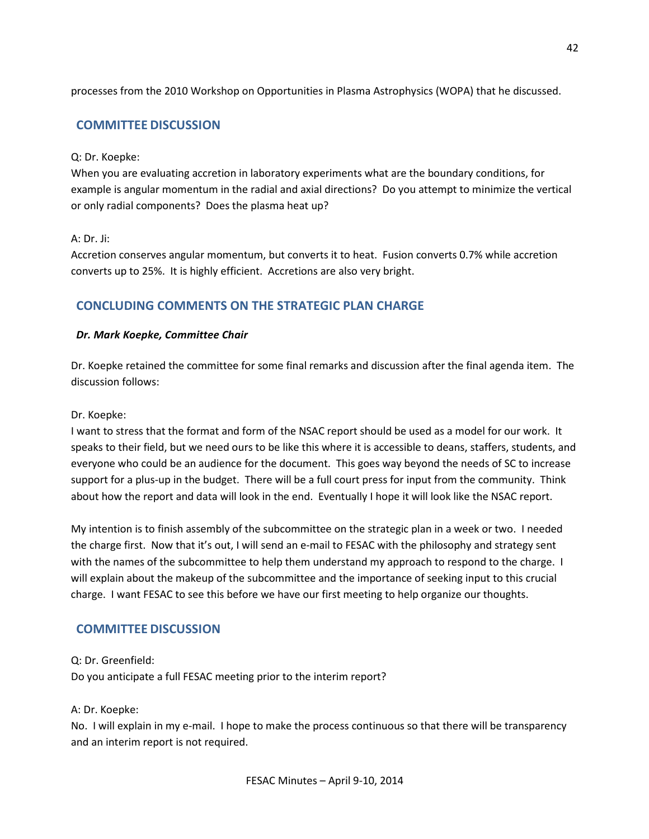processes from the 2010 Workshop on Opportunities in Plasma Astrophysics (WOPA) that he discussed.

# **COMMITTEE DISCUSSION**

### Q: Dr. Koepke:

When you are evaluating accretion in laboratory experiments what are the boundary conditions, for example is angular momentum in the radial and axial directions? Do you attempt to minimize the vertical or only radial components? Does the plasma heat up?

### A: Dr. Ji:

Accretion conserves angular momentum, but converts it to heat. Fusion converts 0.7% while accretion converts up to 25%. It is highly efficient. Accretions are also very bright.

## **CONCLUDING COMMENTS ON THE STRATEGIC PLAN CHARGE**

#### *Dr. Mark Koepke, Committee Chair*

Dr. Koepke retained the committee for some final remarks and discussion after the final agenda item. The discussion follows:

#### Dr. Koepke:

I want to stress that the format and form of the NSAC report should be used as a model for our work. It speaks to their field, but we need ours to be like this where it is accessible to deans, staffers, students, and everyone who could be an audience for the document. This goes way beyond the needs of SC to increase support for a plus-up in the budget. There will be a full court press for input from the community. Think about how the report and data will look in the end. Eventually I hope it will look like the NSAC report.

My intention is to finish assembly of the subcommittee on the strategic plan in a week or two. I needed the charge first. Now that it's out, I will send an e-mail to FESAC with the philosophy and strategy sent with the names of the subcommittee to help them understand my approach to respond to the charge. I will explain about the makeup of the subcommittee and the importance of seeking input to this crucial charge. I want FESAC to see this before we have our first meeting to help organize our thoughts.

## **COMMITTEE DISCUSSION**

#### Q: Dr. Greenfield:

Do you anticipate a full FESAC meeting prior to the interim report?

#### A: Dr. Koepke:

No. I will explain in my e-mail. I hope to make the process continuous so that there will be transparency and an interim report is not required.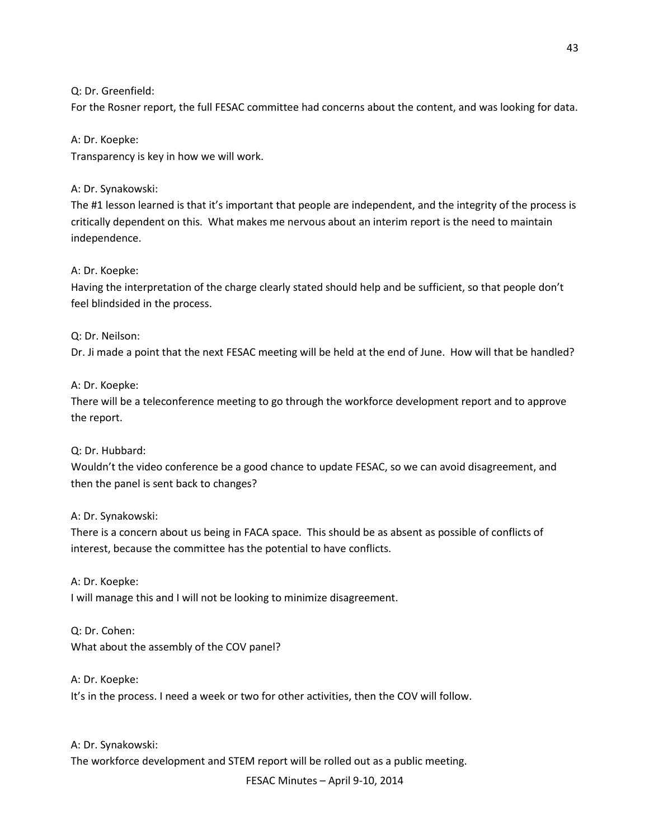Q: Dr. Greenfield:

For the Rosner report, the full FESAC committee had concerns about the content, and was looking for data.

A: Dr. Koepke:

Transparency is key in how we will work.

A: Dr. Synakowski:

The #1 lesson learned is that it's important that people are independent, and the integrity of the process is critically dependent on this. What makes me nervous about an interim report is the need to maintain independence.

A: Dr. Koepke:

Having the interpretation of the charge clearly stated should help and be sufficient, so that people don't feel blindsided in the process.

## Q: Dr. Neilson:

Dr. Ji made a point that the next FESAC meeting will be held at the end of June. How will that be handled?

### A: Dr. Koepke:

There will be a teleconference meeting to go through the workforce development report and to approve the report.

## Q: Dr. Hubbard:

Wouldn't the video conference be a good chance to update FESAC, so we can avoid disagreement, and then the panel is sent back to changes?

A: Dr. Synakowski:

There is a concern about us being in FACA space. This should be as absent as possible of conflicts of interest, because the committee has the potential to have conflicts.

A: Dr. Koepke: I will manage this and I will not be looking to minimize disagreement.

Q: Dr. Cohen: What about the assembly of the COV panel?

A: Dr. Koepke: It's in the process. I need a week or two for other activities, then the COV will follow.

A: Dr. Synakowski: The workforce development and STEM report will be rolled out as a public meeting.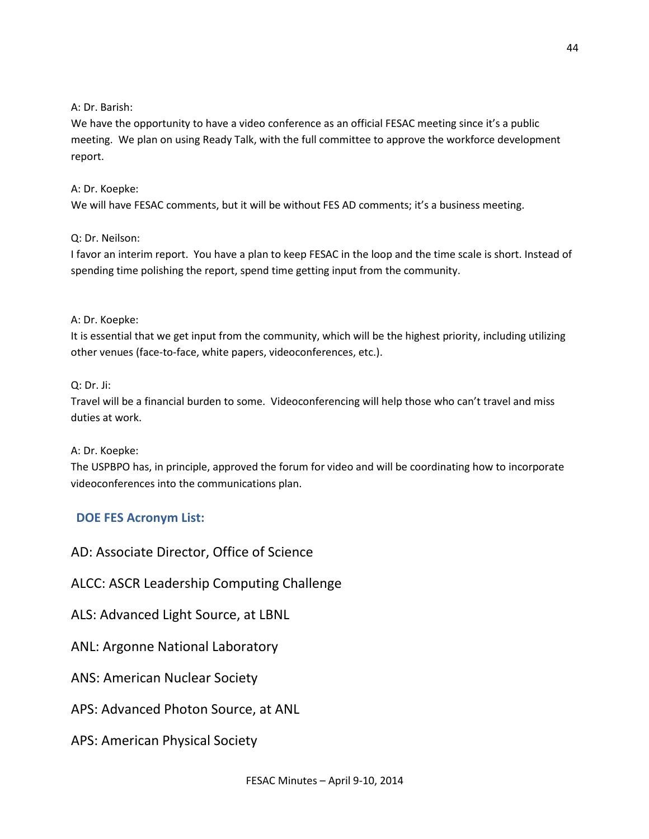## A: Dr. Barish:

We have the opportunity to have a video conference as an official FESAC meeting since it's a public meeting. We plan on using Ready Talk, with the full committee to approve the workforce development report.

# A: Dr. Koepke:

We will have FESAC comments, but it will be without FES AD comments; it's a business meeting.

## Q: Dr. Neilson:

I favor an interim report. You have a plan to keep FESAC in the loop and the time scale is short. Instead of spending time polishing the report, spend time getting input from the community.

## A: Dr. Koepke:

It is essential that we get input from the community, which will be the highest priority, including utilizing other venues (face-to-face, white papers, videoconferences, etc.).

## Q: Dr. Ji:

Travel will be a financial burden to some. Videoconferencing will help those who can't travel and miss duties at work.

A: Dr. Koepke:

The USPBPO has, in principle, approved the forum for video and will be coordinating how to incorporate videoconferences into the communications plan.

# **DOE FES Acronym List:**

AD: Associate Director, Office of Science

ALCC: ASCR Leadership Computing Challenge

ALS: Advanced Light Source, at LBNL

ANL: Argonne National Laboratory

ANS: American Nuclear Society

APS: Advanced Photon Source, at ANL

APS: American Physical Society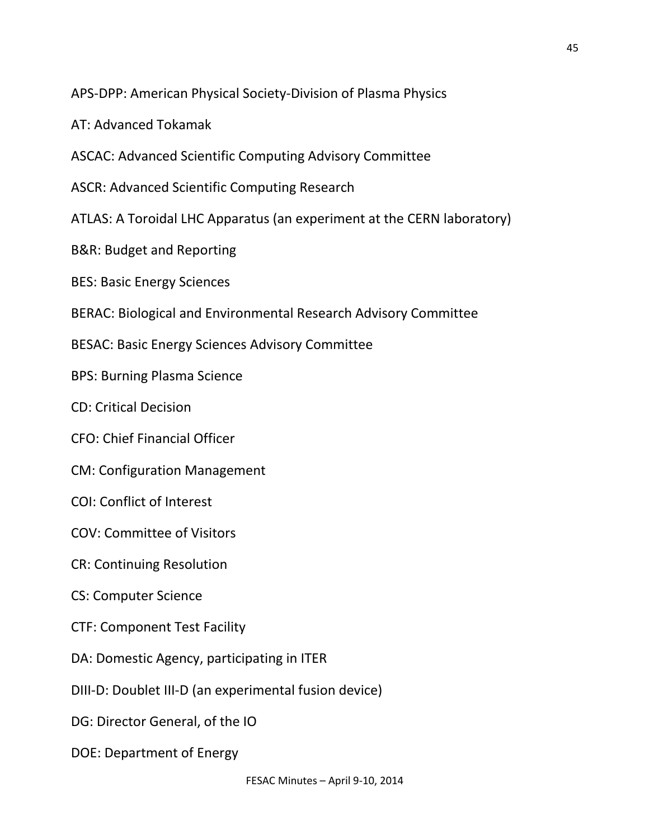APS-DPP: American Physical Society-Division of Plasma Physics

AT: Advanced Tokamak

ASCAC: Advanced Scientific Computing Advisory Committee

ASCR: Advanced Scientific Computing Research

ATLAS: A Toroidal LHC Apparatus (an experiment at the CERN laboratory)

B&R: Budget and Reporting

BES: Basic Energy Sciences

BERAC: Biological and Environmental Research Advisory Committee

BESAC: Basic Energy Sciences Advisory Committee

BPS: Burning Plasma Science

CD: Critical Decision

CFO: Chief Financial Officer

CM: Configuration Management

COI: Conflict of Interest

COV: Committee of Visitors

CR: Continuing Resolution

CS: Computer Science

CTF: Component Test Facility

DA: Domestic Agency, participating in ITER

DIII-D: Doublet III-D (an experimental fusion device)

DG: Director General, of the IO

DOE: Department of Energy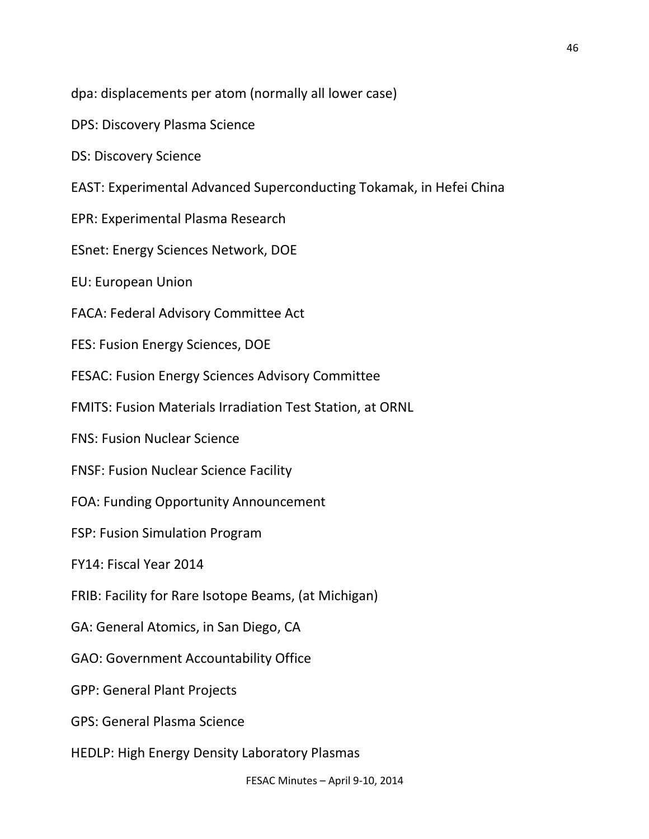dpa: displacements per atom (normally all lower case)

DPS: Discovery Plasma Science

DS: Discovery Science

EAST: Experimental Advanced Superconducting Tokamak, in Hefei China

EPR: Experimental Plasma Research

ESnet: Energy Sciences Network, DOE

EU: European Union

FACA: Federal Advisory Committee Act

FES: Fusion Energy Sciences, DOE

FESAC: Fusion Energy Sciences Advisory Committee

FMITS: Fusion Materials Irradiation Test Station, at ORNL

FNS: Fusion Nuclear Science

FNSF: Fusion Nuclear Science Facility

FOA: Funding Opportunity Announcement

FSP: Fusion Simulation Program

FY14: Fiscal Year 2014

FRIB: Facility for Rare Isotope Beams, (at Michigan)

GA: General Atomics, in San Diego, CA

GAO: Government Accountability Office

GPP: General Plant Projects

GPS: General Plasma Science

HEDLP: High Energy Density Laboratory Plasmas

46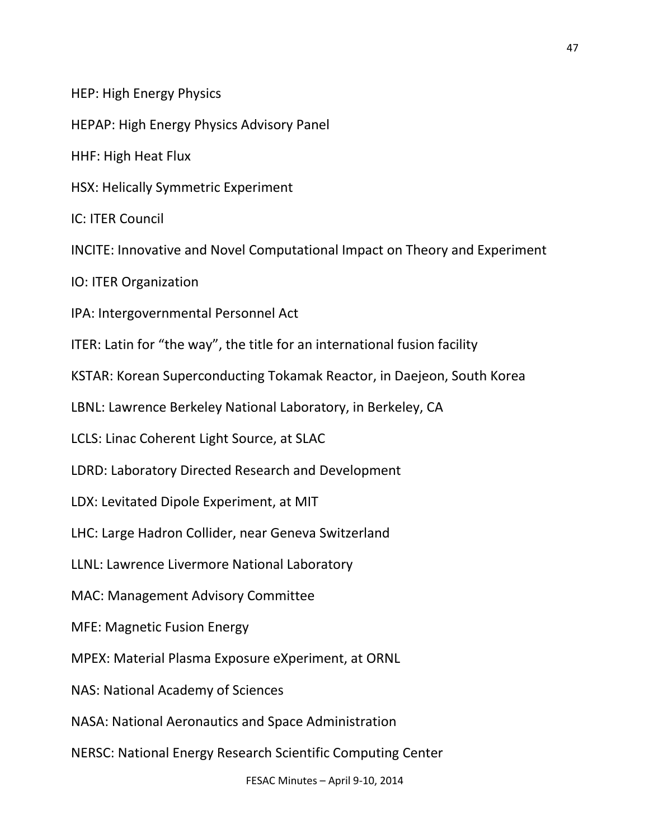HEP: High Energy Physics

HEPAP: High Energy Physics Advisory Panel

HHF: High Heat Flux

HSX: Helically Symmetric Experiment

IC: ITER Council

INCITE: Innovative and Novel Computational Impact on Theory and Experiment

IO: ITER Organization

IPA: Intergovernmental Personnel Act

ITER: Latin for "the way", the title for an international fusion facility

KSTAR: Korean Superconducting Tokamak Reactor, in Daejeon, South Korea

LBNL: Lawrence Berkeley National Laboratory, in Berkeley, CA

LCLS: Linac Coherent Light Source, at SLAC

LDRD: Laboratory Directed Research and Development

LDX: Levitated Dipole Experiment, at MIT

LHC: Large Hadron Collider, near Geneva Switzerland

LLNL: Lawrence Livermore National Laboratory

MAC: Management Advisory Committee

MFE: Magnetic Fusion Energy

MPEX: Material Plasma Exposure eXperiment, at ORNL

NAS: National Academy of Sciences

NASA: National Aeronautics and Space Administration

NERSC: National Energy Research Scientific Computing Center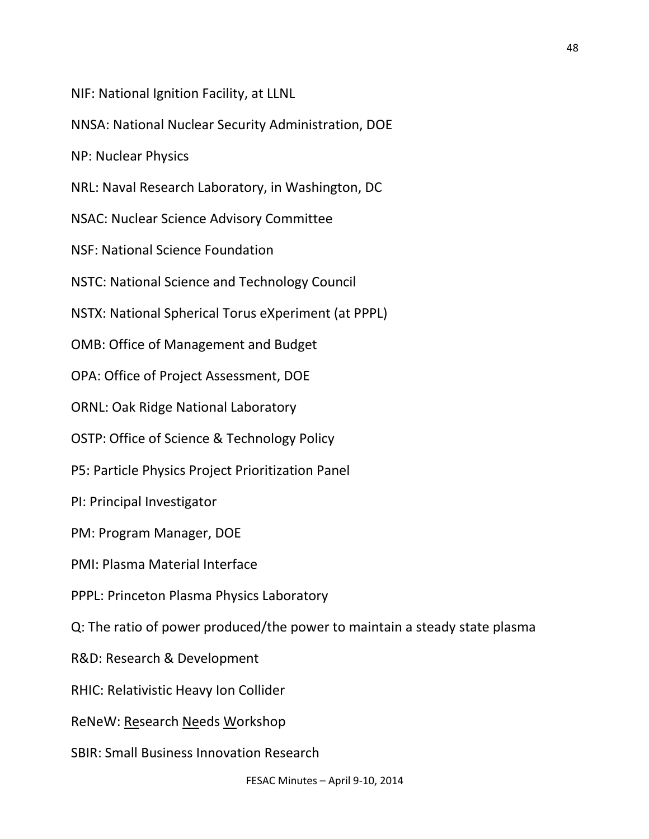NIF: National Ignition Facility, at LLNL

NNSA: National Nuclear Security Administration, DOE

NP: Nuclear Physics

NRL: Naval Research Laboratory, in Washington, DC

NSAC: Nuclear Science Advisory Committee

NSF: National Science Foundation

NSTC: National Science and Technology Council

NSTX: National Spherical Torus eXperiment (at PPPL)

OMB: Office of Management and Budget

OPA: Office of Project Assessment, DOE

ORNL: Oak Ridge National Laboratory

OSTP: Office of Science & Technology Policy

P5: Particle Physics Project Prioritization Panel

PI: Principal Investigator

PM: Program Manager, DOE

PMI: Plasma Material Interface

PPPL: Princeton Plasma Physics Laboratory

Q: The ratio of power produced/the power to maintain a steady state plasma

R&D: Research & Development

RHIC: Relativistic Heavy Ion Collider

ReNeW: Research Needs Workshop

SBIR: Small Business Innovation Research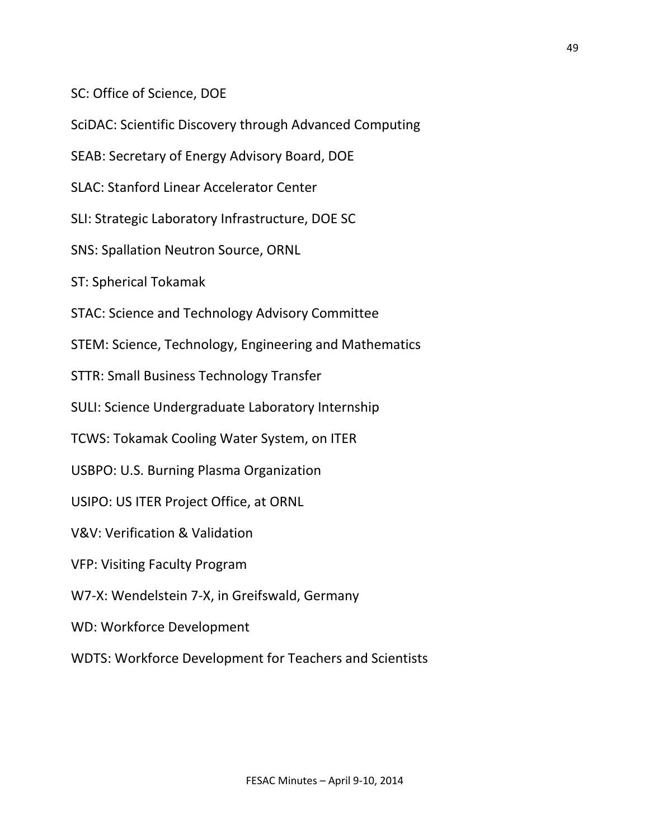SC: Office of Science, DOE

SciDAC: Scientific Discovery through Advanced Computing

SEAB: Secretary of Energy Advisory Board, DOE

SLAC: Stanford Linear Accelerator Center

SLI: Strategic Laboratory Infrastructure, DOE SC

SNS: Spallation Neutron Source, ORNL

ST: Spherical Tokamak

STAC: Science and Technology Advisory Committee

STEM: Science, Technology, Engineering and Mathematics

STTR: Small Business Technology Transfer

SULI: Science Undergraduate Laboratory Internship

TCWS: Tokamak Cooling Water System, on ITER

USBPO: U.S. Burning Plasma Organization

USIPO: US ITER Project Office, at ORNL

V&V: Verification & Validation

VFP: Visiting Faculty Program

W7-X: Wendelstein 7-X, in Greifswald, Germany

WD: Workforce Development

WDTS: Workforce Development for Teachers and Scientists